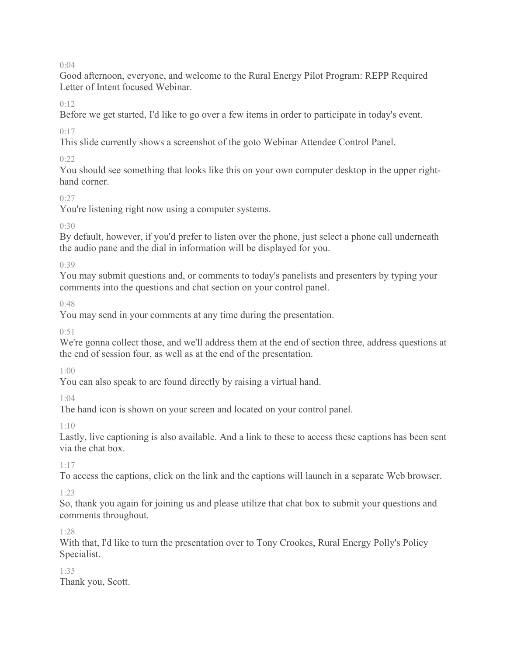$0:04$ 

Good afternoon, everyone, and welcome to the Rural Energy Pilot Program: REPP Required Letter of Intent focused Webinar.

 $0.12$ 

Before we get started, I'd like to go over a few items in order to participate in today's event.

 $0.17$ 

This slide currently shows a screenshot of the goto Webinar Attendee Control Panel.

0:22

You should see something that looks like this on your own computer desktop in the upper righthand corner.

### $0:27$

You're listening right now using a computer systems.

 $0.30$ 

By default, however, if you'd prefer to listen over the phone, just select a phone call underneath the audio pane and the dial in information will be displayed for you.

0:39

You may submit questions and, or comments to today's panelists and presenters by typing your comments into the questions and chat section on your control panel.

0:48

You may send in your comments at any time during the presentation.

 $0:51$ 

We're gonna collect those, and we'll address them at the end of section three, address questions at the end of session four, as well as at the end of the presentation.

1:00

You can also speak to are found directly by raising a virtual hand.

1:04

The hand icon is shown on your screen and located on your control panel.

1:10

Lastly, live captioning is also available. And a link to these to access these captions has been sent via the chat box.

1:17

To access the captions, click on the link and the captions will launch in a separate Web browser.

### 1:23

So, thank you again for joining us and please utilize that chat box to submit your questions and comments throughout.

1:28

With that, I'd like to turn the presentation over to Tony Crookes, Rural Energy Polly's Policy Specialist.

### 1:35

Thank you, Scott.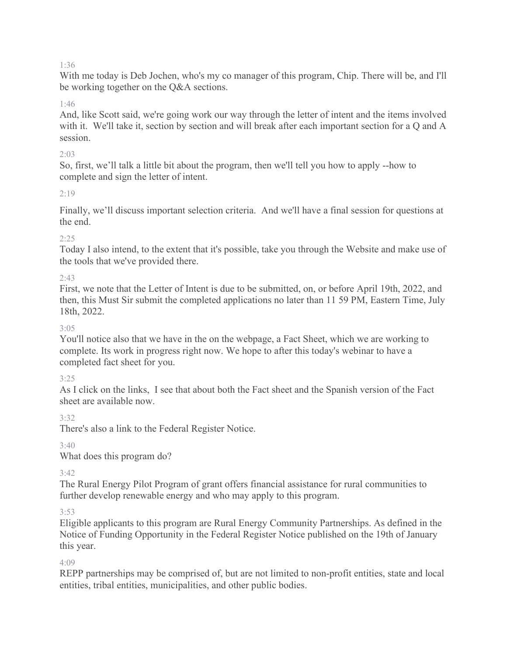### 1:36

With me today is Deb Jochen, who's my co manager of this program, Chip. There will be, and I'll be working together on the Q&A sections.

#### 1:46

And, like Scott said, we're going work our way through the letter of intent and the items involved with it. We'll take it, section by section and will break after each important section for a Q and A session.

#### $2.03$

So, first, we'll talk a little bit about the program, then we'll tell you how to apply --how to complete and sign the letter of intent.

### 2:19

Finally, we'll discuss important selection criteria. And we'll have a final session for questions at the end.

### 2:25

Today I also intend, to the extent that it's possible, take you through the Website and make use of the tools that we've provided there.

### 2:43

First, we note that the Letter of Intent is due to be submitted, on, or before April 19th, 2022, and then, this Must Sir submit the completed applications no later than 11 59 PM, Eastern Time, July 18th, 2022.

### 3:05

You'll notice also that we have in the on the webpage, a Fact Sheet, which we are working to complete. Its work in progress right now. We hope to after this today's webinar to have a completed fact sheet for you.

### 3:25

As I click on the links, I see that about both the Fact sheet and the Spanish version of the Fact sheet are available now.

3:32

There's also a link to the Federal Register Notice.

3:40

What does this program do?

 $3.42$ 

The Rural Energy Pilot Program of grant offers financial assistance for rural communities to further develop renewable energy and who may apply to this program.

3:53

Eligible applicants to this program are Rural Energy Community Partnerships. As defined in the Notice of Funding Opportunity in the Federal Register Notice published on the 19th of January this year.

4:09

REPP partnerships may be comprised of, but are not limited to non-profit entities, state and local entities, tribal entities, municipalities, and other public bodies.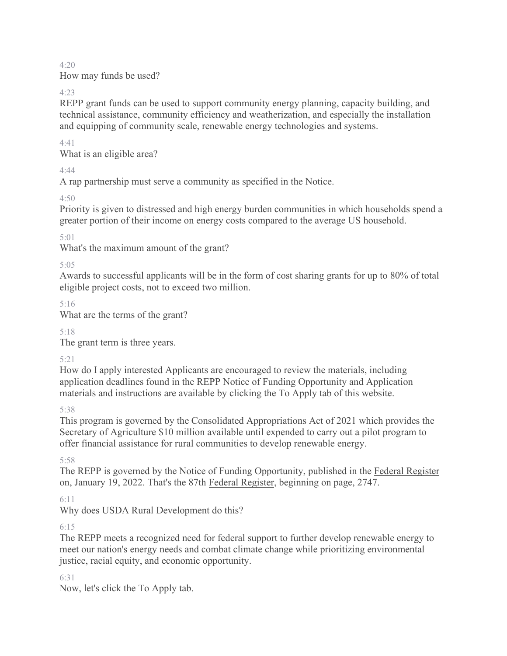4:20 How may funds be used?

4:23

REPP grant funds can be used to support community energy planning, capacity building, and technical assistance, community efficiency and weatherization, and especially the installation and equipping of community scale, renewable energy technologies and systems.

4:41

What is an eligible area?

4:44

A rap partnership must serve a community as specified in the Notice.

4:50

Priority is given to distressed and high energy burden communities in which households spend a greater portion of their income on energy costs compared to the average US household.

5:01

What's the maximum amount of the grant?

5:05

Awards to successful applicants will be in the form of cost sharing grants for up to 80% of total eligible project costs, not to exceed two million.

5:16

What are the terms of the grant?

5:18

The grant term is three years.

5:21

How do I apply interested Applicants are encouraged to review the materials, including application deadlines found in the REPP Notice of Funding Opportunity and Application materials and instructions are available by clicking the To Apply tab of this website.

5:38

This program is governed by the Consolidated Appropriations Act of 2021 which provides the Secretary of Agriculture \$10 million available until expended to carry out a pilot program to offer financial assistance for rural communities to develop renewable energy.

5:58

The REPP is governed by the Notice of Funding Opportunity, published in the Federal Register on, January 19, 2022. That's the 87th Federal Register, beginning on page, 2747.

6:11

Why does USDA Rural Development do this?

6:15

The REPP meets a recognized need for federal support to further develop renewable energy to meet our nation's energy needs and combat climate change while prioritizing environmental justice, racial equity, and economic opportunity.

6:31

Now, let's click the To Apply tab.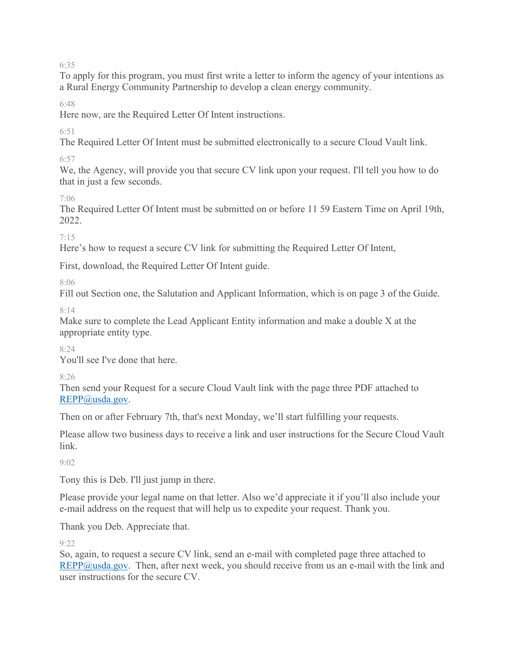6:35

To apply for this program, you must first write a letter to inform the agency of your intentions as a Rural Energy Community Partnership to develop a clean energy community.

6:48

Here now, are the Required Letter Of Intent instructions.

 $6.51$ 

The Required Letter Of Intent must be submitted electronically to a secure Cloud Vault link.

6:57

We, the Agency, will provide you that secure CV link upon your request. I'll tell you how to do that in just a few seconds.

7:06

The Required Letter Of Intent must be submitted on or before 11 59 Eastern Time on April 19th, 2022.

7:15

Here's how to request a secure CV link for submitting the Required Letter Of Intent,

First, download, the Required Letter Of Intent guide.

8:06

Fill out Section one, the Salutation and Applicant Information, which is on page 3 of the Guide.

8:14

Make sure to complete the Lead Applicant Entity information and make a double X at the appropriate entity type.

 $8.24$ 

You'll see I've done that here.

8:26

Then send your Request for a secure Cloud Vault link with the page three PDF attached to [REPP@usda.gov.](mailto:REPP@usda.gov)

Then on or after February 7th, that's next Monday, we'll start fulfilling your requests.

Please allow two business days to receive a link and user instructions for the Secure Cloud Vault link.

 $9.02$ 

Tony this is Deb. I'll just jump in there.

Please provide your legal name on that letter. Also we'd appreciate it if you'll also include your e-mail address on the request that will help us to expedite your request. Thank you.

Thank you Deb. Appreciate that.

 $9.22$ 

So, again, to request a secure CV link, send an e-mail with completed page three attached to [REPP@usda.gov.](mailto:REPP@usda.gov) Then, after next week, you should receive from us an e-mail with the link and user instructions for the secure CV.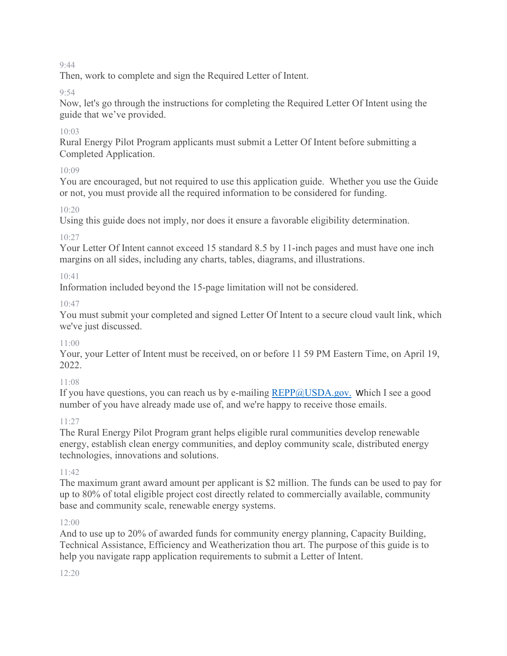#### 9:44

Then, work to complete and sign the Required Letter of Intent.

### 9:54

Now, let's go through the instructions for completing the Required Letter Of Intent using the guide that we've provided.

### $10.03$

Rural Energy Pilot Program applicants must submit a Letter Of Intent before submitting a Completed Application.

### $10.09$

You are encouraged, but not required to use this application guide. Whether you use the Guide or not, you must provide all the required information to be considered for funding.

### 10:20

Using this guide does not imply, nor does it ensure a favorable eligibility determination.

### 10:27

Your Letter Of Intent cannot exceed 15 standard 8.5 by 11-inch pages and must have one inch margins on all sides, including any charts, tables, diagrams, and illustrations.

### 10:41

Information included beyond the 15-page limitation will not be considered.

### 10:47

You must submit your completed and signed Letter Of Intent to a secure cloud vault link, which we've just discussed.

### 11:00

Your, your Letter of Intent must be received, on or before 11 59 PM Eastern Time, on April 19, 2022.

### 11:08

If you have questions, you can reach us by e-mailing  $REPP@USDA.gov$ . Which I see a good number of you have already made use of, and we're happy to receive those emails.

### $11:27$

The Rural Energy Pilot Program grant helps eligible rural communities develop renewable energy, establish clean energy communities, and deploy community scale, distributed energy technologies, innovations and solutions.

### 11:42

The maximum grant award amount per applicant is \$2 million. The funds can be used to pay for up to 80% of total eligible project cost directly related to commercially available, community base and community scale, renewable energy systems.

### 12:00

And to use up to 20% of awarded funds for community energy planning, Capacity Building, Technical Assistance, Efficiency and Weatherization thou art. The purpose of this guide is to help you navigate rapp application requirements to submit a Letter of Intent.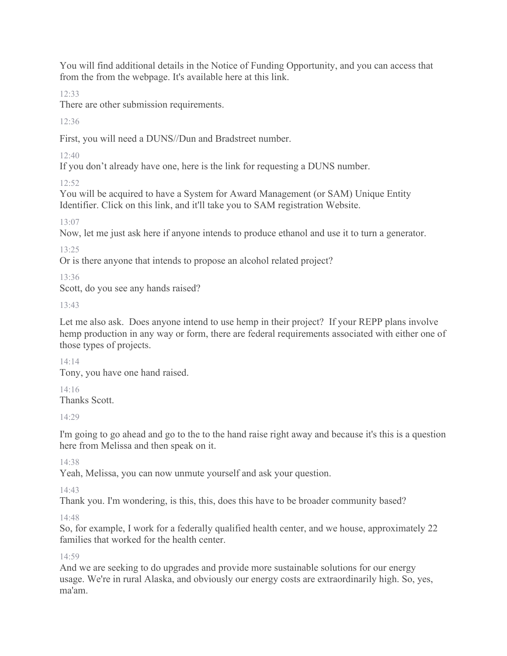You will find additional details in the Notice of Funding Opportunity, and you can access that from the from the webpage. It's available here at this link.

12:33

There are other submission requirements.

 $12.36$ 

First, you will need a DUNS//Dun and Bradstreet number.

12:40

If you don't already have one, here is the link for requesting a DUNS number.

 $12.52$ 

You will be acquired to have a System for Award Management (or SAM) Unique Entity Identifier. Click on this link, and it'll take you to SAM registration Website.

13:07

Now, let me just ask here if anyone intends to produce ethanol and use it to turn a generator.

13:25

Or is there anyone that intends to propose an alcohol related project?

13:36

Scott, do you see any hands raised?

13:43

Let me also ask. Does anyone intend to use hemp in their project? If your REPP plans involve hemp production in any way or form, there are federal requirements associated with either one of those types of projects.

14:14 Tony, you have one hand raised.

14:16 Thanks Scott.

14:29

I'm going to go ahead and go to the to the hand raise right away and because it's this is a question here from Melissa and then speak on it.

14:38

Yeah, Melissa, you can now unmute yourself and ask your question.

14:43

Thank you. I'm wondering, is this, this, does this have to be broader community based?

14:48

So, for example, I work for a federally qualified health center, and we house, approximately 22 families that worked for the health center.

14:59

And we are seeking to do upgrades and provide more sustainable solutions for our energy usage. We're in rural Alaska, and obviously our energy costs are extraordinarily high. So, yes, ma'am.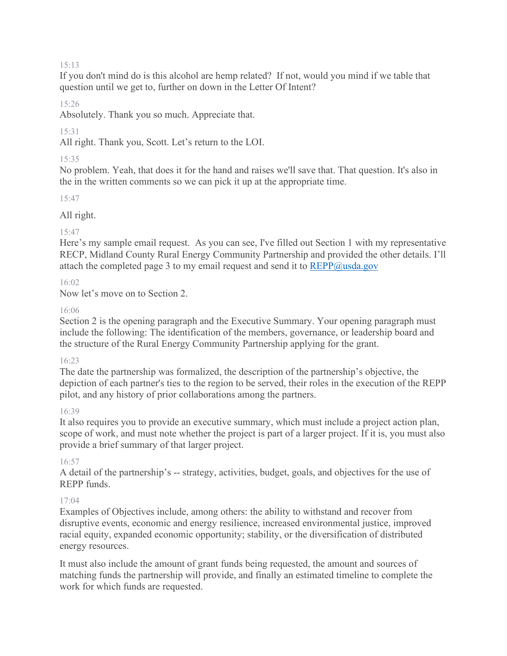#### 15:13

If you don't mind do is this alcohol are hemp related? If not, would you mind if we table that question until we get to, further on down in the Letter Of Intent?

15:26

Absolutely. Thank you so much. Appreciate that.

15:31

All right. Thank you, Scott. Let's return to the LOI.

#### 15:35

No problem. Yeah, that does it for the hand and raises we'll save that. That question. It's also in the in the written comments so we can pick it up at the appropriate time.

15:47

All right.

#### 15:47

Here's my sample email request. As you can see, I've filled out Section 1 with my representative RECP, Midland County Rural Energy Community Partnership and provided the other details. I'll attach the completed page 3 to my email request and send it to  $REPP@$ usda.gov

#### 16:02

Now let's move on to Section 2.

#### 16:06

Section 2 is the opening paragraph and the Executive Summary. Your opening paragraph must include the following: The identification of the members, governance, or leadership board and the structure of the Rural Energy Community Partnership applying for the grant.

#### 16:23

The date the partnership was formalized, the description of the partnership's objective, the depiction of each partner's ties to the region to be served, their roles in the execution of the REPP pilot, and any history of prior collaborations among the partners.

#### 16:39

It also requires you to provide an executive summary, which must include a project action plan, scope of work, and must note whether the project is part of a larger project. If it is, you must also provide a brief summary of that larger project.

#### 16:57

A detail of the partnership's -- strategy, activities, budget, goals, and objectives for the use of REPP funds.

#### 17:04

Examples of Objectives include, among others: the ability to withstand and recover from disruptive events, economic and energy resilience, increased environmental justice, improved racial equity, expanded economic opportunity; stability, or the diversification of distributed energy resources.

It must also include the amount of grant funds being requested, the amount and sources of matching funds the partnership will provide, and finally an estimated timeline to complete the work for which funds are requested.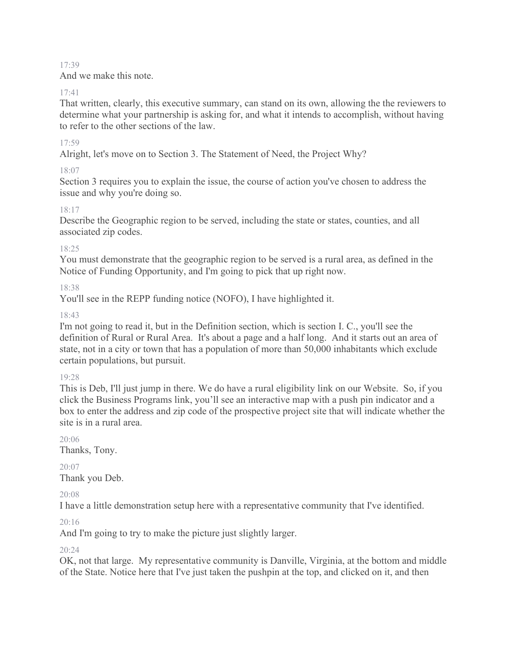#### 17:39

And we make this note.

#### 17:41

That written, clearly, this executive summary, can stand on its own, allowing the the reviewers to determine what your partnership is asking for, and what it intends to accomplish, without having to refer to the other sections of the law.

### 17:59

Alright, let's move on to Section 3. The Statement of Need, the Project Why?

### 18:07

Section 3 requires you to explain the issue, the course of action you've chosen to address the issue and why you're doing so.

### 18:17

Describe the Geographic region to be served, including the state or states, counties, and all associated zip codes.

### 18:25

You must demonstrate that the geographic region to be served is a rural area, as defined in the Notice of Funding Opportunity, and I'm going to pick that up right now.

### 18:38

You'll see in the REPP funding notice (NOFO), I have highlighted it.

### 18:43

I'm not going to read it, but in the Definition section, which is section I. C., you'll see the definition of Rural or Rural Area. It's about a page and a half long. And it starts out an area of state, not in a city or town that has a population of more than 50,000 inhabitants which exclude certain populations, but pursuit.

#### 19:28

This is Deb, I'll just jump in there. We do have a rural eligibility link on our Website. So, if you click the Business Programs link, you'll see an interactive map with a push pin indicator and a box to enter the address and zip code of the prospective project site that will indicate whether the site is in a rural area.

### 20:06

Thanks, Tony.

# $20:07$

Thank you Deb.

### 20:08

I have a little demonstration setup here with a representative community that I've identified.

### $20.16$

And I'm going to try to make the picture just slightly larger.

### 20:24

OK, not that large. My representative community is Danville, Virginia, at the bottom and middle of the State. Notice here that I've just taken the pushpin at the top, and clicked on it, and then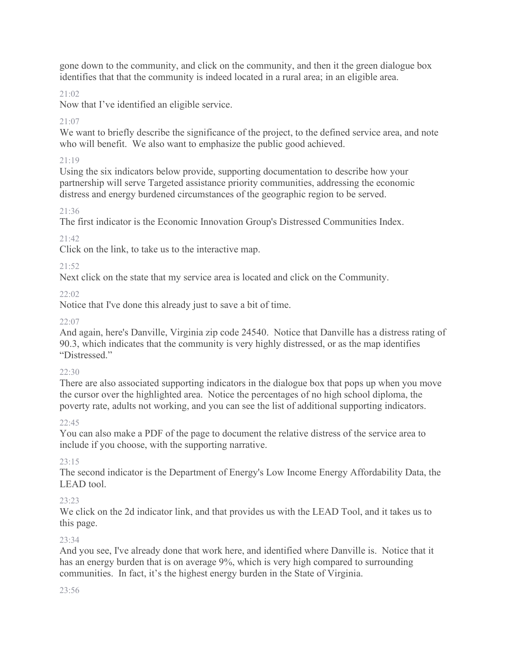gone down to the community, and click on the community, and then it the green dialogue box identifies that that the community is indeed located in a rural area; in an eligible area.

### 21:02

Now that I've identified an eligible service.

### $21.07$

We want to briefly describe the significance of the project, to the defined service area, and note who will benefit. We also want to emphasize the public good achieved.

### 21:19

Using the six indicators below provide, supporting documentation to describe how your partnership will serve Targeted assistance priority communities, addressing the economic distress and energy burdened circumstances of the geographic region to be served.

### $21.36$

The first indicator is the Economic Innovation Group's Distressed Communities Index.

### 21:42

Click on the link, to take us to the interactive map.

### 21:52

Next click on the state that my service area is located and click on the Community.

### 22:02

Notice that I've done this already just to save a bit of time.

### $22:07$

And again, here's Danville, Virginia zip code 24540. Notice that Danville has a distress rating of 90.3, which indicates that the community is very highly distressed, or as the map identifies "Distressed."

### $22.30$

There are also associated supporting indicators in the dialogue box that pops up when you move the cursor over the highlighted area. Notice the percentages of no high school diploma, the poverty rate, adults not working, and you can see the list of additional supporting indicators.

### $22:45$

You can also make a PDF of the page to document the relative distress of the service area to include if you choose, with the supporting narrative.

### 23:15

The second indicator is the Department of Energy's Low Income Energy Affordability Data, the LEAD tool.

### 23:23

We click on the 2d indicator link, and that provides us with the LEAD Tool, and it takes us to this page.

### 23:34

And you see, I've already done that work here, and identified where Danville is. Notice that it has an energy burden that is on average 9%, which is very high compared to surrounding communities. In fact, it's the highest energy burden in the State of Virginia.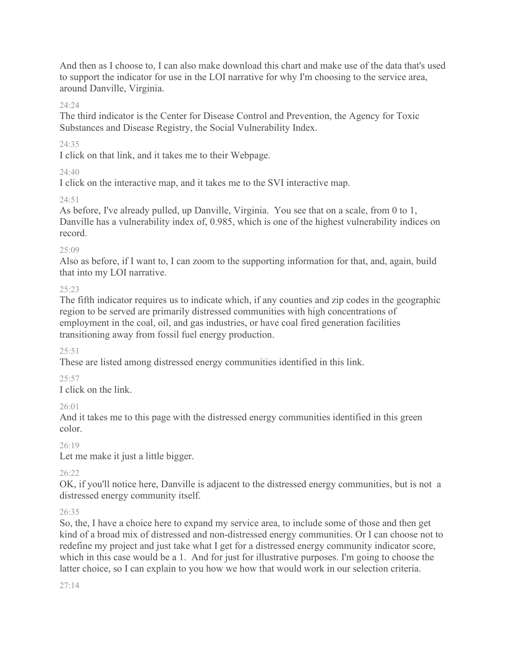And then as I choose to, I can also make download this chart and make use of the data that's used to support the indicator for use in the LOI narrative for why I'm choosing to the service area, around Danville, Virginia.

### 24:24

The third indicator is the Center for Disease Control and Prevention, the Agency for Toxic Substances and Disease Registry, the Social Vulnerability Index.

### 24:35

I click on that link, and it takes me to their Webpage.

### 24:40

I click on the interactive map, and it takes me to the SVI interactive map.

### 24:51

As before, I've already pulled, up Danville, Virginia. You see that on a scale, from 0 to 1, Danville has a vulnerability index of, 0.985, which is one of the highest vulnerability indices on record.

### $25.09$

Also as before, if I want to, I can zoom to the supporting information for that, and, again, build that into my LOI narrative.

### $25.23$

The fifth indicator requires us to indicate which, if any counties and zip codes in the geographic region to be served are primarily distressed communities with high concentrations of employment in the coal, oil, and gas industries, or have coal fired generation facilities transitioning away from fossil fuel energy production.

### $25:51$

These are listed among distressed energy communities identified in this link.

### $25.57$

I click on the link.

### 26:01

And it takes me to this page with the distressed energy communities identified in this green color.

### 26:19

Let me make it just a little bigger.

### $26.22$

OK, if you'll notice here, Danville is adjacent to the distressed energy communities, but is not a distressed energy community itself.

### 26:35

So, the, I have a choice here to expand my service area, to include some of those and then get kind of a broad mix of distressed and non-distressed energy communities. Or I can choose not to redefine my project and just take what I get for a distressed energy community indicator score, which in this case would be a 1. And for just for illustrative purposes. I'm going to choose the latter choice, so I can explain to you how we how that would work in our selection criteria.

#### $27.14$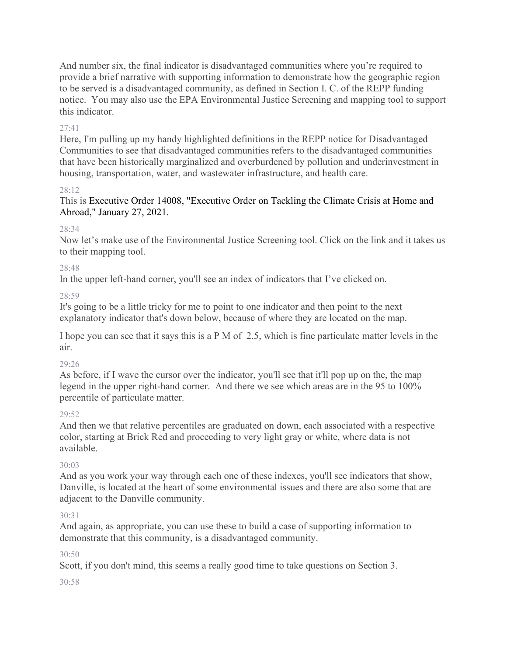And number six, the final indicator is disadvantaged communities where you're required to provide a brief narrative with supporting information to demonstrate how the geographic region to be served is a disadvantaged community, as defined in Section I. C. of the REPP funding notice. You may also use the EPA Environmental Justice Screening and mapping tool to support this indicator.

### 27:41

Here, I'm pulling up my handy highlighted definitions in the REPP notice for Disadvantaged Communities to see that disadvantaged communities refers to the disadvantaged communities that have been historically marginalized and overburdened by pollution and underinvestment in housing, transportation, water, and wastewater infrastructure, and health care.

### 28:12

### This is Executive Order 14008, "Executive Order on Tackling the Climate Crisis at Home and Abroad," January 27, 2021.

### 28:34

Now let's make use of the Environmental Justice Screening tool. Click on the link and it takes us to their mapping tool.

### 28:48

In the upper left-hand corner, you'll see an index of indicators that I've clicked on.

28:59

It's going to be a little tricky for me to point to one indicator and then point to the next explanatory indicator that's down below, because of where they are located on the map.

I hope you can see that it says this is a P M of 2.5, which is fine particulate matter levels in the air.

### 29:26

As before, if I wave the cursor over the indicator, you'll see that it'll pop up on the, the map legend in the upper right-hand corner. And there we see which areas are in the 95 to 100% percentile of particulate matter.

### $29.52$

And then we that relative percentiles are graduated on down, each associated with a respective color, starting at Brick Red and proceeding to very light gray or white, where data is not available.

### 30:03

And as you work your way through each one of these indexes, you'll see indicators that show, Danville, is located at the heart of some environmental issues and there are also some that are adjacent to the Danville community.

### 30:31

And again, as appropriate, you can use these to build a case of supporting information to demonstrate that this community, is a disadvantaged community.

### $30.50$

Scott, if you don't mind, this seems a really good time to take questions on Section 3.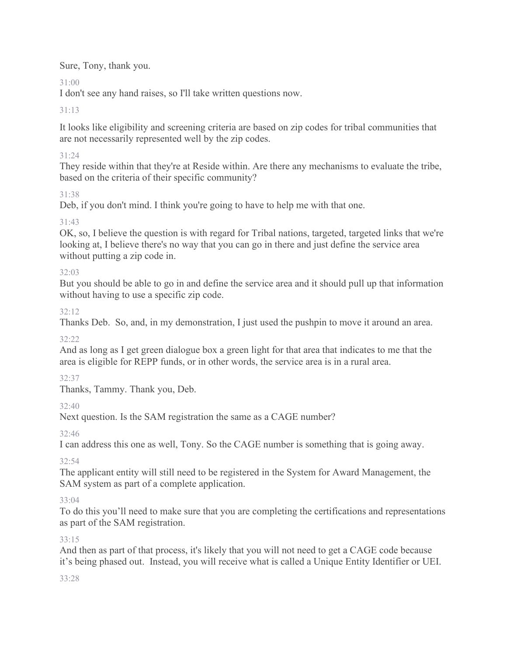Sure, Tony, thank you.

# $31:00$

I don't see any hand raises, so I'll take written questions now.

# 31:13

It looks like eligibility and screening criteria are based on zip codes for tribal communities that are not necessarily represented well by the zip codes.

### 31:24

They reside within that they're at Reside within. Are there any mechanisms to evaluate the tribe, based on the criteria of their specific community?

# 31:38

Deb, if you don't mind. I think you're going to have to help me with that one.

# 31:43

OK, so, I believe the question is with regard for Tribal nations, targeted, targeted links that we're looking at, I believe there's no way that you can go in there and just define the service area without putting a zip code in.

# 32:03

But you should be able to go in and define the service area and it should pull up that information without having to use a specific zip code.

# 32:12

Thanks Deb. So, and, in my demonstration, I just used the pushpin to move it around an area.

### $32.22$

And as long as I get green dialogue box a green light for that area that indicates to me that the area is eligible for REPP funds, or in other words, the service area is in a rural area.

### 32:37

Thanks, Tammy. Thank you, Deb.

# $32:40$

Next question. Is the SAM registration the same as a CAGE number?

# 32:46

I can address this one as well, Tony. So the CAGE number is something that is going away.

# 32:54

The applicant entity will still need to be registered in the System for Award Management, the SAM system as part of a complete application.

# 33:04

To do this you'll need to make sure that you are completing the certifications and representations as part of the SAM registration.

### 33:15

And then as part of that process, it's likely that you will not need to get a CAGE code because it's being phased out. Instead, you will receive what is called a Unique Entity Identifier or UEI.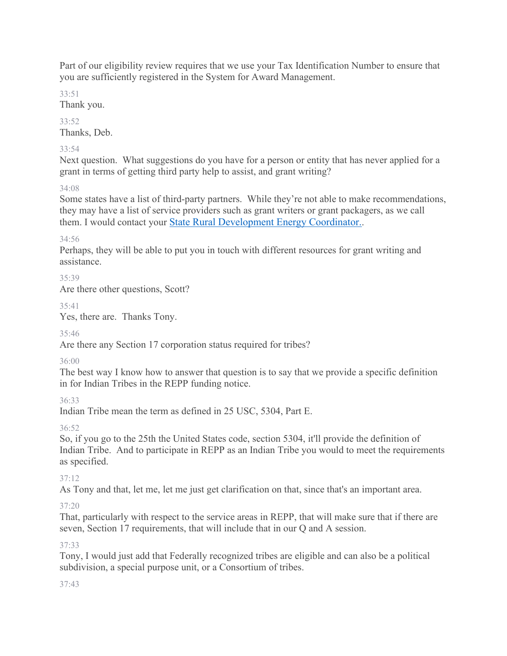Part of our eligibility review requires that we use your Tax Identification Number to ensure that you are sufficiently registered in the System for Award Management.

33:51

Thank you.

33:52 Thanks, Deb.

### 33:54

Next question. What suggestions do you have for a person or entity that has never applied for a grant in terms of getting third party help to assist, and grant writing?

### 34:08

Some states have a list of third-party partners. While they're not able to make recommendations, they may have a list of service providers such as grant writers or grant packagers, as we call them. I would contact your [State Rural Development Energy Coordinator..](https://www.rd.usda.gov/sites/default/files/RBS_StateEnergyCoordinators.pdf)

34:56

Perhaps, they will be able to put you in touch with different resources for grant writing and assistance.

35:39

Are there other questions, Scott?

35:41

Yes, there are. Thanks Tony.

35:46

Are there any Section 17 corporation status required for tribes?

36:00

The best way I know how to answer that question is to say that we provide a specific definition in for Indian Tribes in the REPP funding notice.

36:33

Indian Tribe mean the term as defined in 25 USC, 5304, Part E.

36:52

So, if you go to the 25th the United States code, section 5304, it'll provide the definition of Indian Tribe. And to participate in REPP as an Indian Tribe you would to meet the requirements as specified.

### 37:12

As Tony and that, let me, let me just get clarification on that, since that's an important area.

# $37:20$

That, particularly with respect to the service areas in REPP, that will make sure that if there are seven, Section 17 requirements, that will include that in our Q and A session.

### 37:33

Tony, I would just add that Federally recognized tribes are eligible and can also be a political subdivision, a special purpose unit, or a Consortium of tribes.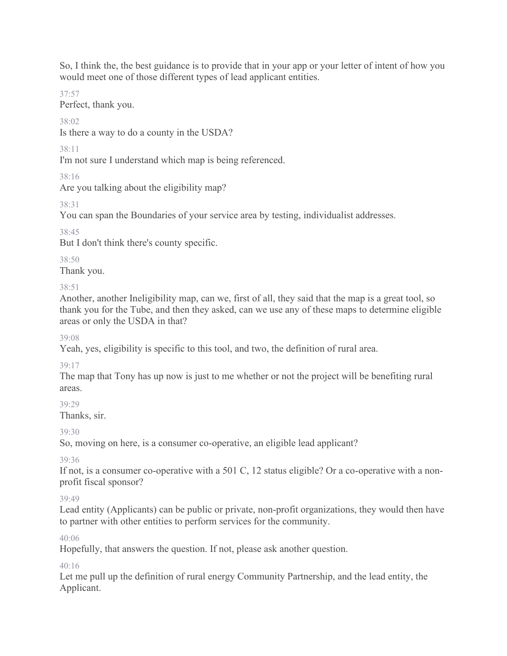So, I think the, the best guidance is to provide that in your app or your letter of intent of how you would meet one of those different types of lead applicant entities.

37:57

Perfect, thank you.

 $38.02$ 

Is there a way to do a county in the USDA?

38:11

I'm not sure I understand which map is being referenced.

38:16

Are you talking about the eligibility map?

38:31

You can span the Boundaries of your service area by testing, individualist addresses.

38:45

But I don't think there's county specific.

38:50

Thank you.

38:51

Another, another Ineligibility map, can we, first of all, they said that the map is a great tool, so thank you for the Tube, and then they asked, can we use any of these maps to determine eligible areas or only the USDA in that?

39:08

Yeah, yes, eligibility is specific to this tool, and two, the definition of rural area.

39:17

The map that Tony has up now is just to me whether or not the project will be benefiting rural areas.

 $30.29$ 

Thanks, sir.

 $39.30$ 

So, moving on here, is a consumer co-operative, an eligible lead applicant?

39:36

If not, is a consumer co-operative with a 501 C, 12 status eligible? Or a co-operative with a nonprofit fiscal sponsor?

39:49

Lead entity (Applicants) can be public or private, non-profit organizations, they would then have to partner with other entities to perform services for the community.

40:06

Hopefully, that answers the question. If not, please ask another question.

 $40.16$ 

Let me pull up the definition of rural energy Community Partnership, and the lead entity, the Applicant.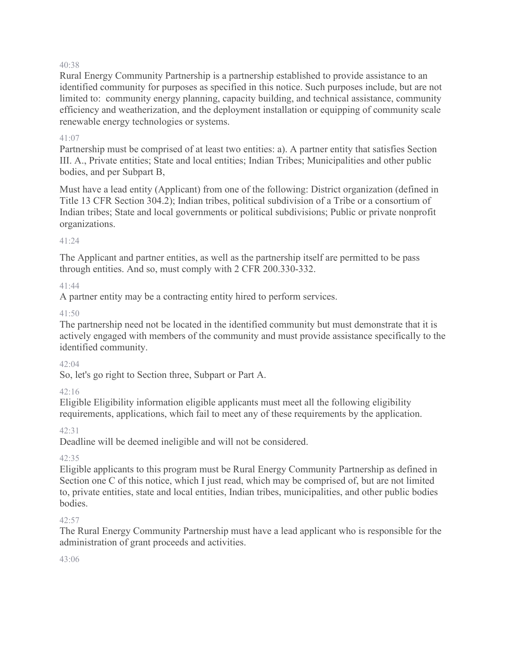#### 40:38

Rural Energy Community Partnership is a partnership established to provide assistance to an identified community for purposes as specified in this notice. Such purposes include, but are not limited to: community energy planning, capacity building, and technical assistance, community efficiency and weatherization, and the deployment installation or equipping of community scale renewable energy technologies or systems.

#### 41:07

Partnership must be comprised of at least two entities: a). A partner entity that satisfies Section III. A., Private entities; State and local entities; Indian Tribes; Municipalities and other public bodies, and per Subpart B,

Must have a lead entity (Applicant) from one of the following: District organization (defined in Title 13 CFR Section 304.2); Indian tribes, political subdivision of a Tribe or a consortium of Indian tribes; State and local governments or political subdivisions; Public or private nonprofit organizations.

#### 41:24

The Applicant and partner entities, as well as the partnership itself are permitted to be pass through entities. And so, must comply with 2 CFR 200.330-332.

### 41:44

A partner entity may be a contracting entity hired to perform services.

### $41:50$

The partnership need not be located in the identified community but must demonstrate that it is actively engaged with members of the community and must provide assistance specifically to the identified community.

#### 42:04

So, let's go right to Section three, Subpart or Part A.

### 42:16

Eligible Eligibility information eligible applicants must meet all the following eligibility requirements, applications, which fail to meet any of these requirements by the application.

### 42:31

Deadline will be deemed ineligible and will not be considered.

### $42.35$

Eligible applicants to this program must be Rural Energy Community Partnership as defined in Section one C of this notice, which I just read, which may be comprised of, but are not limited to, private entities, state and local entities, Indian tribes, municipalities, and other public bodies bodies.

### $42:57$

The Rural Energy Community Partnership must have a lead applicant who is responsible for the administration of grant proceeds and activities.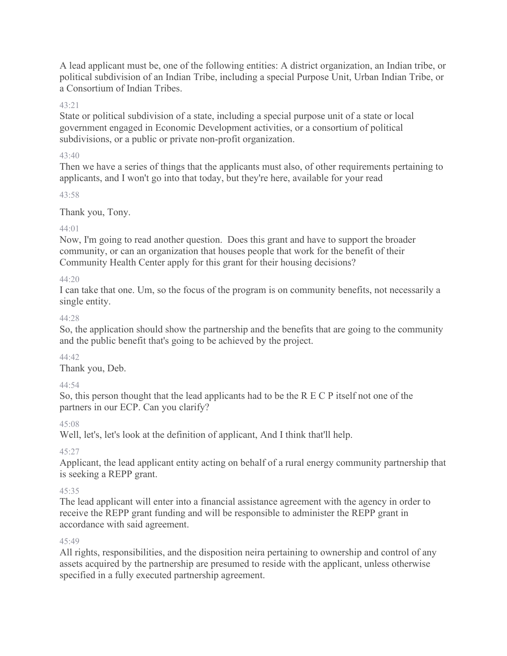A lead applicant must be, one of the following entities: A district organization, an Indian tribe, or political subdivision of an Indian Tribe, including a special Purpose Unit, Urban Indian Tribe, or a Consortium of Indian Tribes.

### 43:21

State or political subdivision of a state, including a special purpose unit of a state or local government engaged in Economic Development activities, or a consortium of political subdivisions, or a public or private non-profit organization.

#### 43:40

Then we have a series of things that the applicants must also, of other requirements pertaining to applicants, and I won't go into that today, but they're here, available for your read

#### 43:58

### Thank you, Tony.

### 44:01

Now, I'm going to read another question. Does this grant and have to support the broader community, or can an organization that houses people that work for the benefit of their Community Health Center apply for this grant for their housing decisions?

### 44:20

I can take that one. Um, so the focus of the program is on community benefits, not necessarily a single entity.

### 44:28

So, the application should show the partnership and the benefits that are going to the community and the public benefit that's going to be achieved by the project.

### 44:42

Thank you, Deb.

### 44:54

So, this person thought that the lead applicants had to be the R E C P itself not one of the partners in our ECP. Can you clarify?

### $45:08$

Well, let's, let's look at the definition of applicant, And I think that'll help.

### 45:27

Applicant, the lead applicant entity acting on behalf of a rural energy community partnership that is seeking a REPP grant.

### 45:35

The lead applicant will enter into a financial assistance agreement with the agency in order to receive the REPP grant funding and will be responsible to administer the REPP grant in accordance with said agreement.

### 45:49

All rights, responsibilities, and the disposition neira pertaining to ownership and control of any assets acquired by the partnership are presumed to reside with the applicant, unless otherwise specified in a fully executed partnership agreement.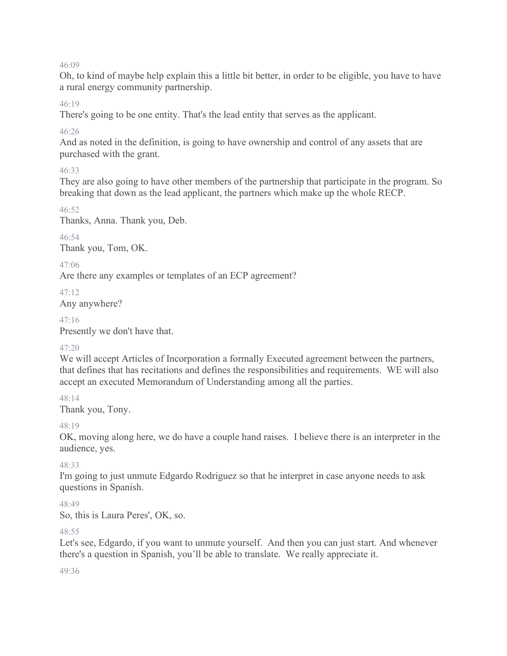46:09

Oh, to kind of maybe help explain this a little bit better, in order to be eligible, you have to have a rural energy community partnership.

46:19

There's going to be one entity. That's the lead entity that serves as the applicant.

46:26

And as noted in the definition, is going to have ownership and control of any assets that are purchased with the grant.

46:33

They are also going to have other members of the partnership that participate in the program. So breaking that down as the lead applicant, the partners which make up the whole RECP.

46:52

Thanks, Anna. Thank you, Deb.

46:54 Thank you, Tom, OK.

47:06

Are there any examples or templates of an ECP agreement?

47:12 Any anywhere?

47:16

Presently we don't have that.

### 47:20

We will accept Articles of Incorporation a formally Executed agreement between the partners, that defines that has recitations and defines the responsibilities and requirements. WE will also accept an executed Memorandum of Understanding among all the parties.

48:14 Thank you, Tony.

48:19

OK, moving along here, we do have a couple hand raises. I believe there is an interpreter in the audience, yes.

### 48:33

I'm going to just unmute Edgardo Rodriguez so that he interpret in case anyone needs to ask questions in Spanish.

 $48.49$ 

So, this is Laura Peres', OK, so.

### $48.55$

Let's see, Edgardo, if you want to unmute yourself. And then you can just start. And whenever there's a question in Spanish, you'll be able to translate. We really appreciate it.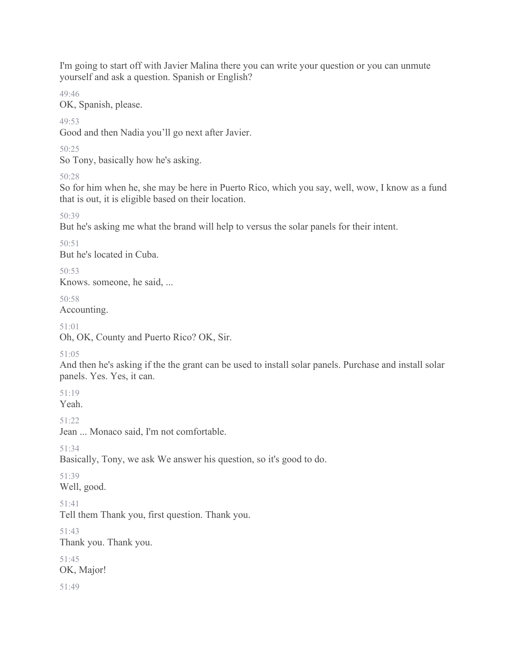I'm going to start off with Javier Malina there you can write your question or you can unmute yourself and ask a question. Spanish or English?

49:46

OK, Spanish, please.

49:53

Good and then Nadia you'll go next after Javier.

50:25

So Tony, basically how he's asking.

50:28

So for him when he, she may be here in Puerto Rico, which you say, well, wow, I know as a fund that is out, it is eligible based on their location.

50:39

But he's asking me what the brand will help to versus the solar panels for their intent.

50:51

But he's located in Cuba.

 $50.53$ 

Knows. someone, he said, ...

50:58

Accounting.

51:01

Oh, OK, County and Puerto Rico? OK, Sir.

51:05

And then he's asking if the the grant can be used to install solar panels. Purchase and install solar panels. Yes. Yes, it can.

51:19

Yeah.

51:22

Jean ... Monaco said, I'm not comfortable.

51:34

Basically, Tony, we ask We answer his question, so it's good to do.

51:39 Well, good.

51:41

Tell them Thank you, first question. Thank you.

### 51:43

Thank you. Thank you.

51:45 OK, Major!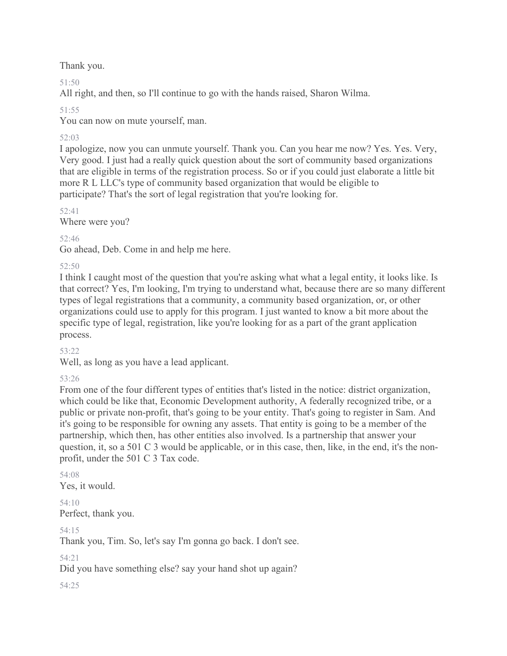Thank you.

51:50

All right, and then, so I'll continue to go with the hands raised, Sharon Wilma.

51:55

You can now on mute yourself, man.

# 52:03

I apologize, now you can unmute yourself. Thank you. Can you hear me now? Yes. Yes. Very, Very good. I just had a really quick question about the sort of community based organizations that are eligible in terms of the registration process. So or if you could just elaborate a little bit more R L LLC's type of community based organization that would be eligible to participate? That's the sort of legal registration that you're looking for.

 $52.41$ Where were you?

52:46

Go ahead, Deb. Come in and help me here.

52:50

I think I caught most of the question that you're asking what what a legal entity, it looks like. Is that correct? Yes, I'm looking, I'm trying to understand what, because there are so many different types of legal registrations that a community, a community based organization, or, or other organizations could use to apply for this program. I just wanted to know a bit more about the specific type of legal, registration, like you're looking for as a part of the grant application process.

53:22

Well, as long as you have a lead applicant.

53:26

From one of the four different types of entities that's listed in the notice: district organization, which could be like that, Economic Development authority, A federally recognized tribe, or a public or private non-profit, that's going to be your entity. That's going to register in Sam. And it's going to be responsible for owning any assets. That entity is going to be a member of the partnership, which then, has other entities also involved. Is a partnership that answer your question, it, so a 501 C 3 would be applicable, or in this case, then, like, in the end, it's the nonprofit, under the 501 C 3 Tax code.

54:08 Yes, it would.

54:10 Perfect, thank you.

54:15

Thank you, Tim. So, let's say I'm gonna go back. I don't see.

54:21

Did you have something else? say your hand shot up again?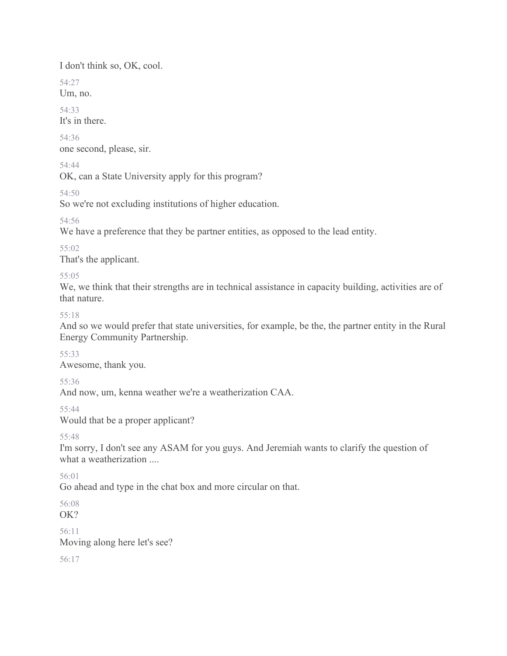I don't think so, OK, cool.

54:27 Um, no.

54:33 It's in there.

54:36 one second, please, sir.

54:44

OK, can a State University apply for this program?

54:50

So we're not excluding institutions of higher education.

54:56

We have a preference that they be partner entities, as opposed to the lead entity.

55:02 That's the applicant.

55:05

We, we think that their strengths are in technical assistance in capacity building, activities are of that nature.

55:18

And so we would prefer that state universities, for example, be the, the partner entity in the Rural Energy Community Partnership.

55:33

Awesome, thank you.

55:36

And now, um, kenna weather we're a weatherization CAA.

55:44

Would that be a proper applicant?

55:48

I'm sorry, I don't see any ASAM for you guys. And Jeremiah wants to clarify the question of what a weatherization ....

56:01

Go ahead and type in the chat box and more circular on that.

56:08

OK?

56:11

Moving along here let's see?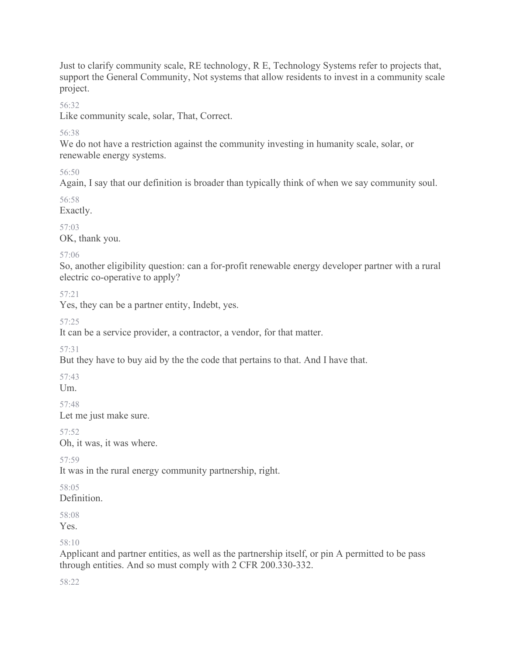Just to clarify community scale, RE technology, R E, Technology Systems refer to projects that, support the General Community, Not systems that allow residents to invest in a community scale project.

56:32

Like community scale, solar, That, Correct.

56:38

We do not have a restriction against the community investing in humanity scale, solar, or renewable energy systems.

56:50

Again, I say that our definition is broader than typically think of when we say community soul.

56:58

Exactly.

57:03

OK, thank you.

57:06

So, another eligibility question: can a for-profit renewable energy developer partner with a rural electric co-operative to apply?

57:21

Yes, they can be a partner entity, Indebt, yes.

57:25

It can be a service provider, a contractor, a vendor, for that matter.

57:31

But they have to buy aid by the the code that pertains to that. And I have that.

57:43

 $Um.$ 

57:48

Let me just make sure.

57:52

Oh, it was, it was where.

57:59

It was in the rural energy community partnership, right.

58:05

Definition.

58:08

Yes.

58:10

Applicant and partner entities, as well as the partnership itself, or pin A permitted to be pass through entities. And so must comply with 2 CFR 200.330-332.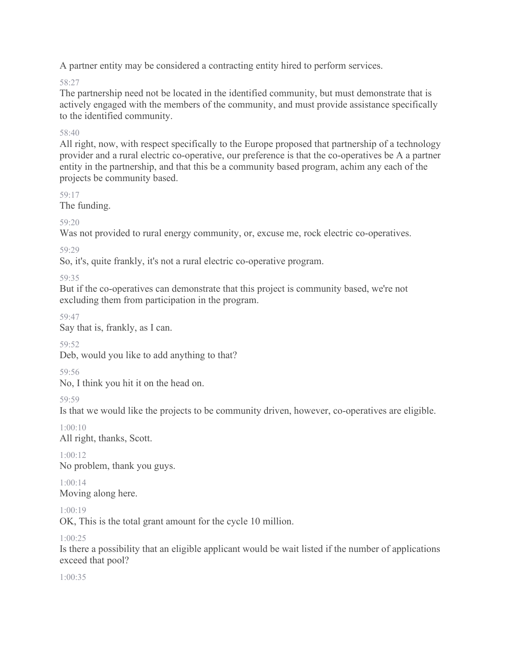A partner entity may be considered a contracting entity hired to perform services.

58:27

The partnership need not be located in the identified community, but must demonstrate that is actively engaged with the members of the community, and must provide assistance specifically to the identified community.

### 58:40

All right, now, with respect specifically to the Europe proposed that partnership of a technology provider and a rural electric co-operative, our preference is that the co-operatives be A a partner entity in the partnership, and that this be a community based program, achim any each of the projects be community based.

59:17

The funding.

59:20

Was not provided to rural energy community, or, excuse me, rock electric co-operatives.

59:29

So, it's, quite frankly, it's not a rural electric co-operative program.

59:35

But if the co-operatives can demonstrate that this project is community based, we're not excluding them from participation in the program.

59:47

Say that is, frankly, as I can.

59:52

Deb, would you like to add anything to that?

59:56

No, I think you hit it on the head on.

59:59

Is that we would like the projects to be community driven, however, co-operatives are eligible.

1:00:10 All right, thanks, Scott.

 $1:00:12$ No problem, thank you guys.

1:00:14 Moving along here.

1:00:19

OK, This is the total grant amount for the cycle 10 million.

1:00:25

Is there a possibility that an eligible applicant would be wait listed if the number of applications exceed that pool?

1:00:35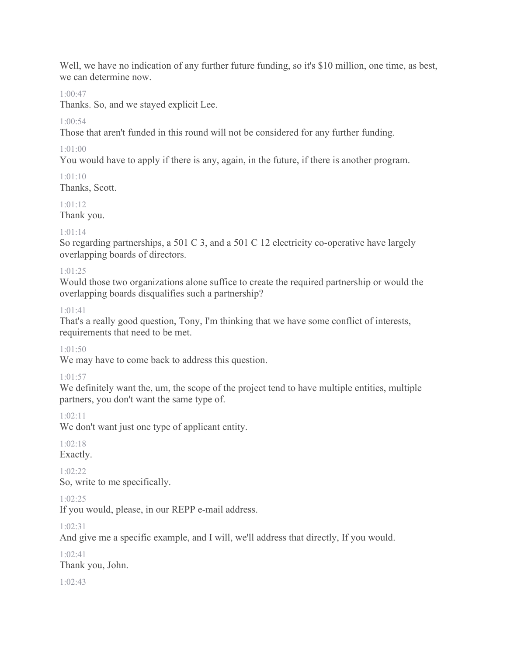Well, we have no indication of any further future funding, so it's \$10 million, one time, as best, we can determine now.

#### 1:00:47

Thanks. So, and we stayed explicit Lee.

### $1:00:54$

Those that aren't funded in this round will not be considered for any further funding.

### 1:01:00

You would have to apply if there is any, again, in the future, if there is another program.

### 1:01:10

Thanks, Scott.

### 1:01:12

Thank you.

#### $1.01.14$

So regarding partnerships, a 501 C 3, and a 501 C 12 electricity co-operative have largely overlapping boards of directors.

#### 1:01:25

Would those two organizations alone suffice to create the required partnership or would the overlapping boards disqualifies such a partnership?

#### 1:01:41

That's a really good question, Tony, I'm thinking that we have some conflict of interests, requirements that need to be met.

#### 1:01:50

We may have to come back to address this question.

### 1:01:57

We definitely want the, um, the scope of the project tend to have multiple entities, multiple partners, you don't want the same type of.

#### 1:02:11

We don't want just one type of applicant entity.

### 1:02:18

Exactly.

 $1.02.22$ So, write to me specifically.

#### 1:02:25

If you would, please, in our REPP e-mail address.

#### 1:02:31

And give me a specific example, and I will, we'll address that directly, If you would.

# 1:02:41 Thank you, John.

 $1.02.43$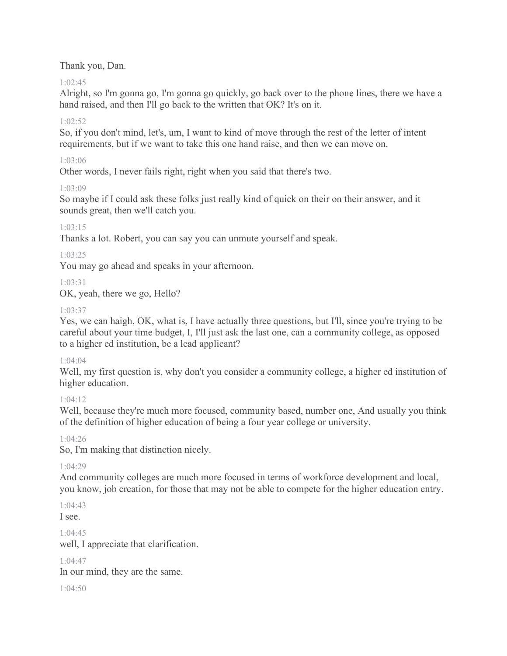Thank you, Dan.

### $1.02:45$

Alright, so I'm gonna go, I'm gonna go quickly, go back over to the phone lines, there we have a hand raised, and then I'll go back to the written that OK? It's on it.

### $1.02.52$

So, if you don't mind, let's, um, I want to kind of move through the rest of the letter of intent requirements, but if we want to take this one hand raise, and then we can move on.

### 1:03:06

Other words, I never fails right, right when you said that there's two.

### 1:03:09

So maybe if I could ask these folks just really kind of quick on their on their answer, and it sounds great, then we'll catch you.

### 1:03:15

Thanks a lot. Robert, you can say you can unmute yourself and speak.

### 1:03:25

You may go ahead and speaks in your afternoon.

### 1:03:31

OK, yeah, there we go, Hello?

### 1:03:37

Yes, we can haigh, OK, what is, I have actually three questions, but I'll, since you're trying to be careful about your time budget, I, I'll just ask the last one, can a community college, as opposed to a higher ed institution, be a lead applicant?

### $1.04.04$

Well, my first question is, why don't you consider a community college, a higher ed institution of higher education.

### $1.04.12$

Well, because they're much more focused, community based, number one, And usually you think of the definition of higher education of being a four year college or university.

### 1:04:26

So, I'm making that distinction nicely.

### 1:04:29

And community colleges are much more focused in terms of workforce development and local, you know, job creation, for those that may not be able to compete for the higher education entry.

#### 1:04:43 I see.

1:04:45

well, I appreciate that clarification.

### 1:04:47

In our mind, they are the same.

1:04:50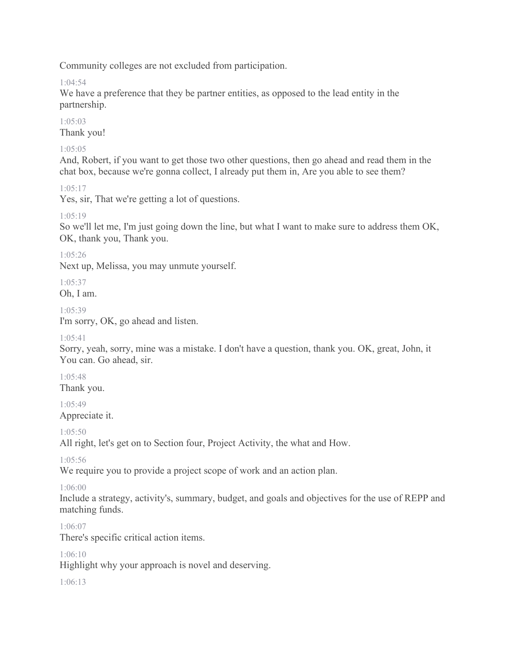Community colleges are not excluded from participation.

 $1.04.54$ 

We have a preference that they be partner entities, as opposed to the lead entity in the partnership.

1:05:03 Thank you!

### 1:05:05

And, Robert, if you want to get those two other questions, then go ahead and read them in the chat box, because we're gonna collect, I already put them in, Are you able to see them?

### 1:05:17

Yes, sir, That we're getting a lot of questions.

### 1:05:19

So we'll let me, I'm just going down the line, but what I want to make sure to address them OK, OK, thank you, Thank you.

1:05:26

Next up, Melissa, you may unmute yourself.

1:05:37

Oh, I am.

### 1:05:39

I'm sorry, OK, go ahead and listen.

### 1:05:41

Sorry, yeah, sorry, mine was a mistake. I don't have a question, thank you. OK, great, John, it You can. Go ahead, sir.

1:05:48 Thank you.

1:05:49

Appreciate it.

 $1.05:50$ 

All right, let's get on to Section four, Project Activity, the what and How.

1:05:56

We require you to provide a project scope of work and an action plan.

### 1:06:00

Include a strategy, activity's, summary, budget, and goals and objectives for the use of REPP and matching funds.

### 1:06:07

There's specific critical action items.

### 1:06:10

Highlight why your approach is novel and deserving.

 $1.06:13$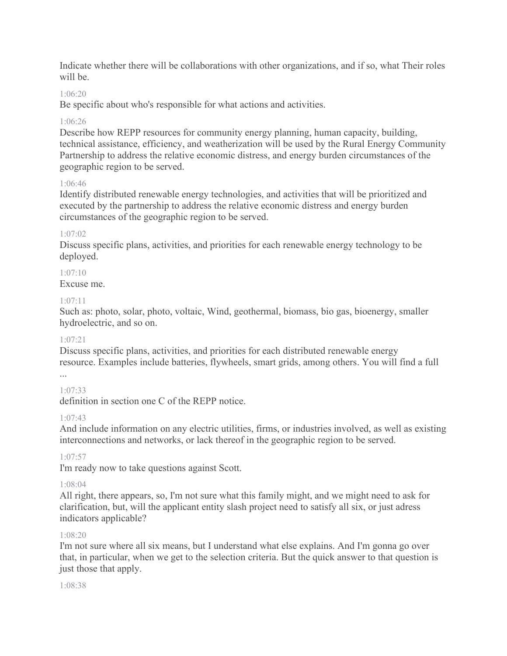Indicate whether there will be collaborations with other organizations, and if so, what Their roles will be.

#### 1:06:20

Be specific about who's responsible for what actions and activities.

#### 1:06:26

Describe how REPP resources for community energy planning, human capacity, building, technical assistance, efficiency, and weatherization will be used by the Rural Energy Community Partnership to address the relative economic distress, and energy burden circumstances of the geographic region to be served.

#### 1:06:46

Identify distributed renewable energy technologies, and activities that will be prioritized and executed by the partnership to address the relative economic distress and energy burden circumstances of the geographic region to be served.

#### 1:07:02

Discuss specific plans, activities, and priorities for each renewable energy technology to be deployed.

### 1:07:10

Excuse me.

#### $1.07.11$

Such as: photo, solar, photo, voltaic, Wind, geothermal, biomass, bio gas, bioenergy, smaller hydroelectric, and so on.

#### 1:07:21

Discuss specific plans, activities, and priorities for each distributed renewable energy resource. Examples include batteries, flywheels, smart grids, among others. You will find a full ...

#### 1:07:33

definition in section one C of the REPP notice.

#### 1:07:43

And include information on any electric utilities, firms, or industries involved, as well as existing interconnections and networks, or lack thereof in the geographic region to be served.

#### 1:07:57

I'm ready now to take questions against Scott.

#### 1:08:04

All right, there appears, so, I'm not sure what this family might, and we might need to ask for clarification, but, will the applicant entity slash project need to satisfy all six, or just adress indicators applicable?

#### 1:08:20

I'm not sure where all six means, but I understand what else explains. And I'm gonna go over that, in particular, when we get to the selection criteria. But the quick answer to that question is just those that apply.

#### 1:08:38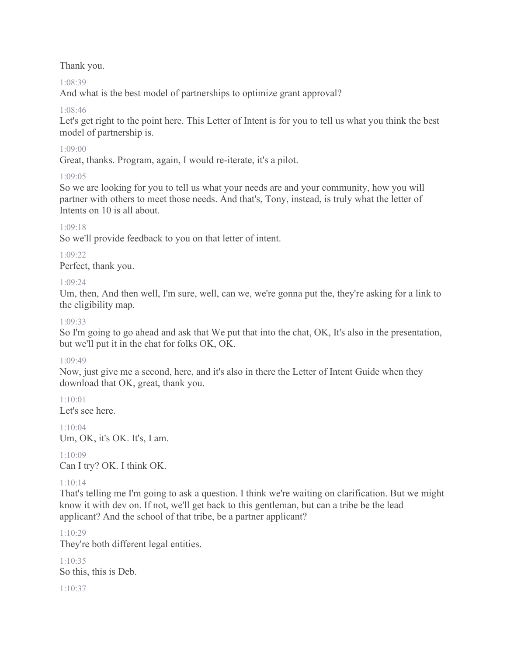Thank you.

1:08:39

And what is the best model of partnerships to optimize grant approval?

#### 1:08:46

Let's get right to the point here. This Letter of Intent is for you to tell us what you think the best model of partnership is.

#### 1:09:00

Great, thanks. Program, again, I would re-iterate, it's a pilot.

#### 1:09:05

So we are looking for you to tell us what your needs are and your community, how you will partner with others to meet those needs. And that's, Tony, instead, is truly what the letter of Intents on 10 is all about.

#### 1:09:18

So we'll provide feedback to you on that letter of intent.

#### 1:09:22

Perfect, thank you.

#### 1:09:24

Um, then, And then well, I'm sure, well, can we, we're gonna put the, they're asking for a link to the eligibility map.

#### 1:09:33

So I'm going to go ahead and ask that We put that into the chat, OK, It's also in the presentation, but we'll put it in the chat for folks OK, OK.

#### 1:09:49

Now, just give me a second, here, and it's also in there the Letter of Intent Guide when they download that OK, great, thank you.

 $1:10:01$ Let's see here.

1:10:04 Um, OK, it's OK. It's, I am.

 $1:10:09$ Can I try? OK. I think OK.

### 1:10:14

That's telling me I'm going to ask a question. I think we're waiting on clarification. But we might know it with dev on. If not, we'll get back to this gentleman, but can a tribe be the lead applicant? And the school of that tribe, be a partner applicant?

### 1:10:29

They're both different legal entities.

1:10:35 So this, this is Deb.

#### 1:10:37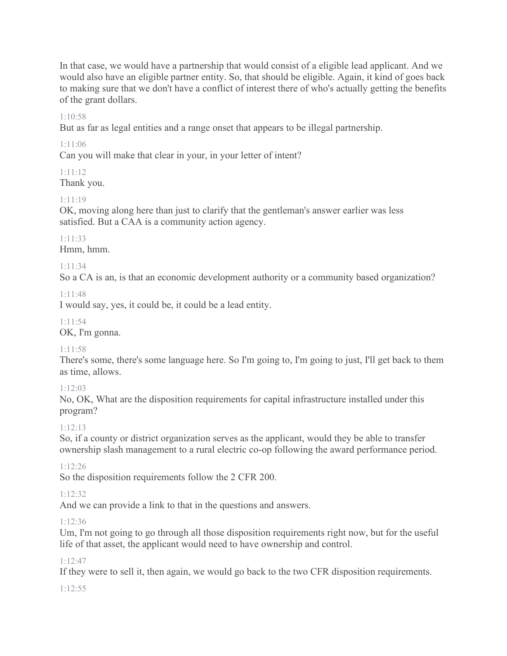In that case, we would have a partnership that would consist of a eligible lead applicant. And we would also have an eligible partner entity. So, that should be eligible. Again, it kind of goes back to making sure that we don't have a conflict of interest there of who's actually getting the benefits of the grant dollars.

#### 1:10:58

But as far as legal entities and a range onset that appears to be illegal partnership.

1:11:06

Can you will make that clear in your, in your letter of intent?

### 1:11:12

Thank you.

### 1:11:19

OK, moving along here than just to clarify that the gentleman's answer earlier was less satisfied. But a CAA is a community action agency.

### 1:11:33

Hmm, hmm.

### 1:11:34

So a CA is an, is that an economic development authority or a community based organization?

#### 1:11:48

I would say, yes, it could be, it could be a lead entity.

#### 1:11:54

OK, I'm gonna.

### 1:11:58

There's some, there's some language here. So I'm going to, I'm going to just, I'll get back to them as time, allows.

### 1:12:03

No, OK, What are the disposition requirements for capital infrastructure installed under this program?

### 1:12:13

So, if a county or district organization serves as the applicant, would they be able to transfer ownership slash management to a rural electric co-op following the award performance period.

### 1:12:26

So the disposition requirements follow the 2 CFR 200.

### 1:12:32

And we can provide a link to that in the questions and answers.

### 1:12:36

Um, I'm not going to go through all those disposition requirements right now, but for the useful life of that asset, the applicant would need to have ownership and control.

### 1:12:47

If they were to sell it, then again, we would go back to the two CFR disposition requirements.

#### 1:12:55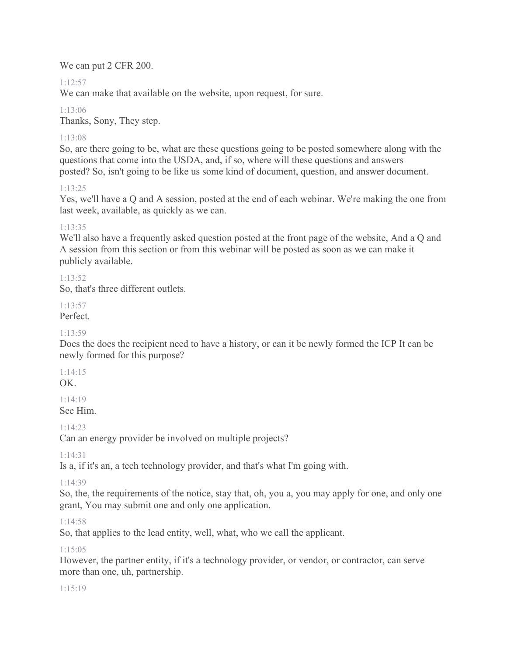We can put 2 CFR 200.

### 1:12:57

We can make that available on the website, upon request, for sure.

1:13:06 Thanks, Sony, They step.

### 1:13:08

So, are there going to be, what are these questions going to be posted somewhere along with the questions that come into the USDA, and, if so, where will these questions and answers posted? So, isn't going to be like us some kind of document, question, and answer document.

### 1:13:25

Yes, we'll have a Q and A session, posted at the end of each webinar. We're making the one from last week, available, as quickly as we can.

### 1:13:35

We'll also have a frequently asked question posted at the front page of the website, And a Q and A session from this section or from this webinar will be posted as soon as we can make it publicly available.

### 1:13:52

So, that's three different outlets.

### 1:13:57

Perfect.

### 1:13:59

Does the does the recipient need to have a history, or can it be newly formed the ICP It can be newly formed for this purpose?

# 1:14:15

OK.

#### 1:14:19 See Him.

1:14:23

Can an energy provider be involved on multiple projects?

1:14:31

Is a, if it's an, a tech technology provider, and that's what I'm going with.

### 1:14:39

So, the, the requirements of the notice, stay that, oh, you a, you may apply for one, and only one grant, You may submit one and only one application.

### 1:14:58

So, that applies to the lead entity, well, what, who we call the applicant.

### $1:15:05$

However, the partner entity, if it's a technology provider, or vendor, or contractor, can serve more than one, uh, partnership.

### 1:15:19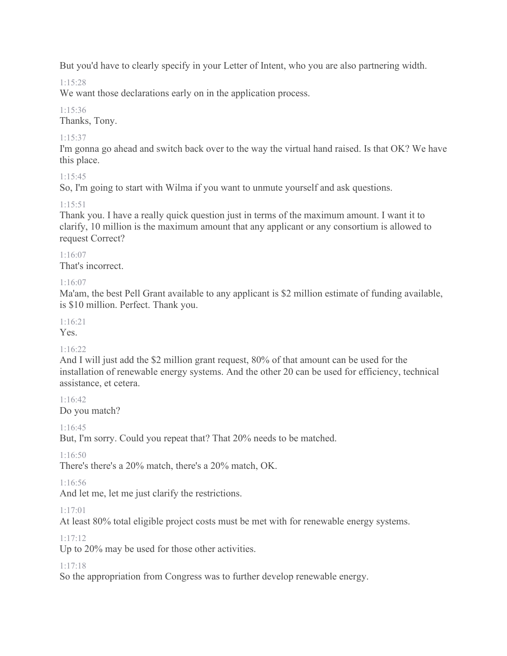But you'd have to clearly specify in your Letter of Intent, who you are also partnering width.

# 1:15:28

We want those declarations early on in the application process.

# 1:15:36

Thanks, Tony.

# 1:15:37

I'm gonna go ahead and switch back over to the way the virtual hand raised. Is that OK? We have this place.

# $1.15.45$

So, I'm going to start with Wilma if you want to unmute yourself and ask questions.

# 1:15:51

Thank you. I have a really quick question just in terms of the maximum amount. I want it to clarify, 10 million is the maximum amount that any applicant or any consortium is allowed to request Correct?

### 1:16:07

That's incorrect.

### 1:16:07

Ma'am, the best Pell Grant available to any applicant is \$2 million estimate of funding available, is \$10 million. Perfect. Thank you.

### 1:16:21

Yes.

### $1.16.22$

And I will just add the \$2 million grant request, 80% of that amount can be used for the installation of renewable energy systems. And the other 20 can be used for efficiency, technical assistance, et cetera.

1:16:42 Do you match?

1:16:45

But, I'm sorry. Could you repeat that? That 20% needs to be matched.

### $1:16:50$

There's there's a 20% match, there's a 20% match, OK.

### 1:16:56

And let me, let me just clarify the restrictions.

### 1:17:01

At least 80% total eligible project costs must be met with for renewable energy systems.

### 1:17:12

Up to 20% may be used for those other activities.

### 1:17:18

So the appropriation from Congress was to further develop renewable energy.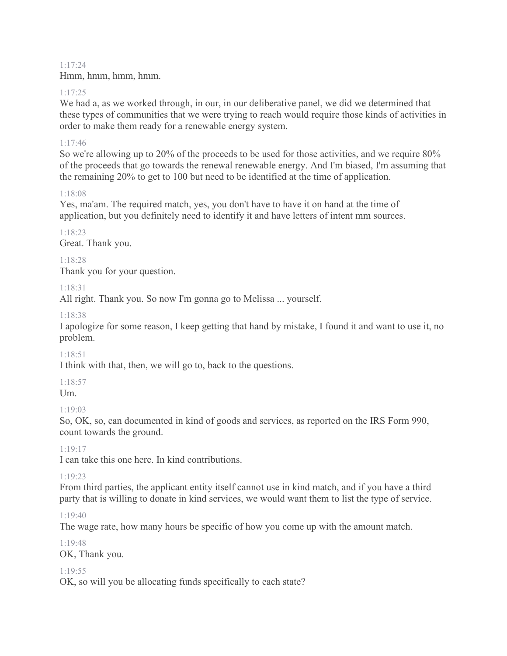1:17:24 Hmm, hmm, hmm, hmm.

#### 1:17:25

We had a, as we worked through, in our, in our deliberative panel, we did we determined that these types of communities that we were trying to reach would require those kinds of activities in order to make them ready for a renewable energy system.

#### 1:17:46

So we're allowing up to 20% of the proceeds to be used for those activities, and we require 80% of the proceeds that go towards the renewal renewable energy. And I'm biased, I'm assuming that the remaining 20% to get to 100 but need to be identified at the time of application.

### 1:18:08

Yes, ma'am. The required match, yes, you don't have to have it on hand at the time of application, but you definitely need to identify it and have letters of intent mm sources.

1:18:23 Great. Thank you.

1:18:28 Thank you for your question.

1:18:31

All right. Thank you. So now I'm gonna go to Melissa ... yourself.

### 1:18:38

I apologize for some reason, I keep getting that hand by mistake, I found it and want to use it, no problem.

### 1:18:51

I think with that, then, we will go to, back to the questions.

### 1:18:57

Um.

### 1:19:03

So, OK, so, can documented in kind of goods and services, as reported on the IRS Form 990, count towards the ground.

1:19:17

I can take this one here. In kind contributions.

### 1:19:23

From third parties, the applicant entity itself cannot use in kind match, and if you have a third party that is willing to donate in kind services, we would want them to list the type of service.

### 1:19:40

The wage rate, how many hours be specific of how you come up with the amount match.

#### 1:19:48

OK, Thank you.

### 1:19:55

OK, so will you be allocating funds specifically to each state?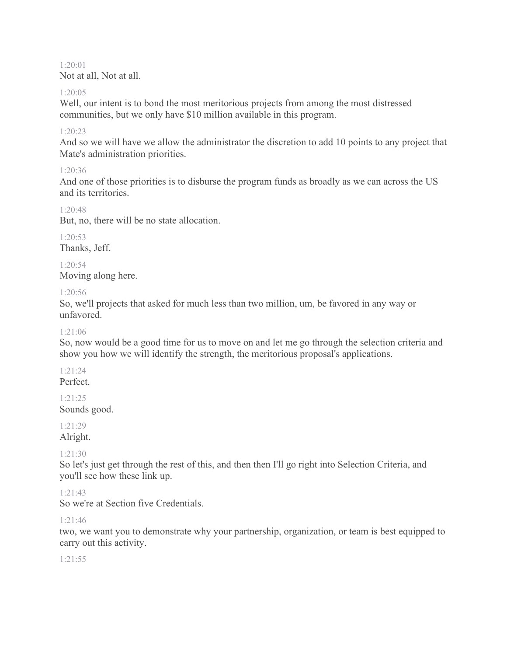1:20:01 Not at all, Not at all.

#### 1:20:05

Well, our intent is to bond the most meritorious projects from among the most distressed communities, but we only have \$10 million available in this program.

#### $1:20:23$

And so we will have we allow the administrator the discretion to add 10 points to any project that Mate's administration priorities.

### 1:20:36

And one of those priorities is to disburse the program funds as broadly as we can across the US and its territories.

#### 1:20:48

But, no, there will be no state allocation.

1:20:53 Thanks, Jeff.

1:20:54 Moving along here.

#### 1:20:56

So, we'll projects that asked for much less than two million, um, be favored in any way or unfavored.

### 1:21:06

So, now would be a good time for us to move on and let me go through the selection criteria and show you how we will identify the strength, the meritorious proposal's applications.

### 1:21:24

Perfect.

# 1:21:25

Sounds good.

#### 1:21:29 Alright.

### 1:21:30

So let's just get through the rest of this, and then then I'll go right into Selection Criteria, and you'll see how these link up.

### 1:21:43

So we're at Section five Credentials.

### 1:21:46

two, we want you to demonstrate why your partnership, organization, or team is best equipped to carry out this activity.

### 1:21:55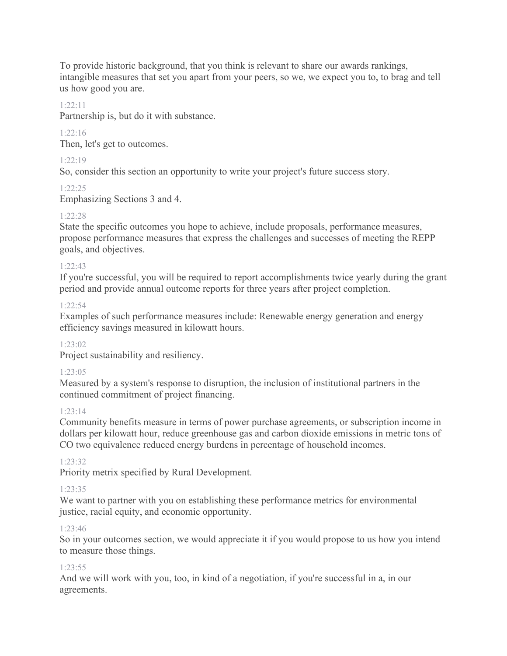To provide historic background, that you think is relevant to share our awards rankings, intangible measures that set you apart from your peers, so we, we expect you to, to brag and tell us how good you are.

#### 1:22:11

Partnership is, but do it with substance.

### 1:22:16

Then, let's get to outcomes.

#### 1:22:19

So, consider this section an opportunity to write your project's future success story.

#### 1:22:25

Emphasizing Sections 3 and 4.

#### 1:22:28

State the specific outcomes you hope to achieve, include proposals, performance measures, propose performance measures that express the challenges and successes of meeting the REPP goals, and objectives.

#### 1:22:43

If you're successful, you will be required to report accomplishments twice yearly during the grant period and provide annual outcome reports for three years after project completion.

#### $1.22.54$

Examples of such performance measures include: Renewable energy generation and energy efficiency savings measured in kilowatt hours.

#### $1.23 \cdot 02$

Project sustainability and resiliency.

#### 1:23:05

Measured by a system's response to disruption, the inclusion of institutional partners in the continued commitment of project financing.

#### 1:23:14

Community benefits measure in terms of power purchase agreements, or subscription income in dollars per kilowatt hour, reduce greenhouse gas and carbon dioxide emissions in metric tons of CO two equivalence reduced energy burdens in percentage of household incomes.

#### 1:23:32

Priority metrix specified by Rural Development.

#### 1:23:35

We want to partner with you on establishing these performance metrics for environmental justice, racial equity, and economic opportunity.

#### 1:23:46

So in your outcomes section, we would appreciate it if you would propose to us how you intend to measure those things.

#### $1.23.55$

And we will work with you, too, in kind of a negotiation, if you're successful in a, in our agreements.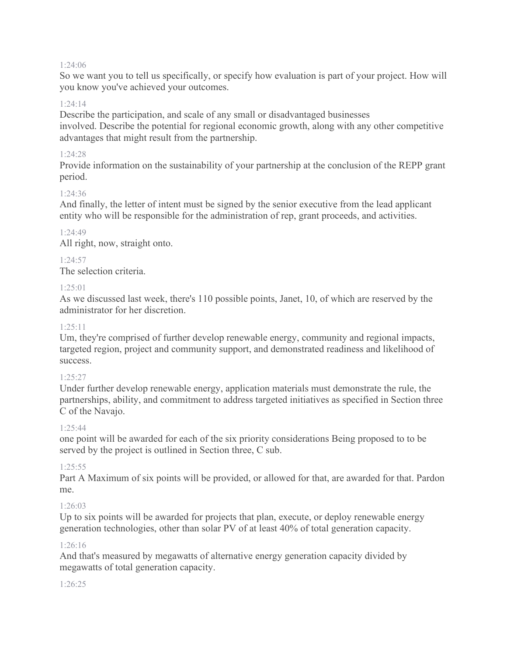#### 1:24:06

So we want you to tell us specifically, or specify how evaluation is part of your project. How will you know you've achieved your outcomes.

#### 1:24:14

Describe the participation, and scale of any small or disadvantaged businesses involved. Describe the potential for regional economic growth, along with any other competitive advantages that might result from the partnership.

#### 1:24:28

Provide information on the sustainability of your partnership at the conclusion of the REPP grant period.

#### 1:24:36

And finally, the letter of intent must be signed by the senior executive from the lead applicant entity who will be responsible for the administration of rep, grant proceeds, and activities.

#### 1:24:49

All right, now, straight onto.

#### $1.24.57$

The selection criteria.

#### $1.25:01$

As we discussed last week, there's 110 possible points, Janet, 10, of which are reserved by the administrator for her discretion.

#### $1.25.11$

Um, they're comprised of further develop renewable energy, community and regional impacts, targeted region, project and community support, and demonstrated readiness and likelihood of success.

#### 1:25:27

Under further develop renewable energy, application materials must demonstrate the rule, the partnerships, ability, and commitment to address targeted initiatives as specified in Section three C of the Navajo.

#### $1.25 \cdot 44$

one point will be awarded for each of the six priority considerations Being proposed to to be served by the project is outlined in Section three, C sub.

#### $1.25.55$

Part A Maximum of six points will be provided, or allowed for that, are awarded for that. Pardon me.

#### 1:26:03

Up to six points will be awarded for projects that plan, execute, or deploy renewable energy generation technologies, other than solar PV of at least 40% of total generation capacity.

#### 1:26:16

And that's measured by megawatts of alternative energy generation capacity divided by megawatts of total generation capacity.

#### 1:26:25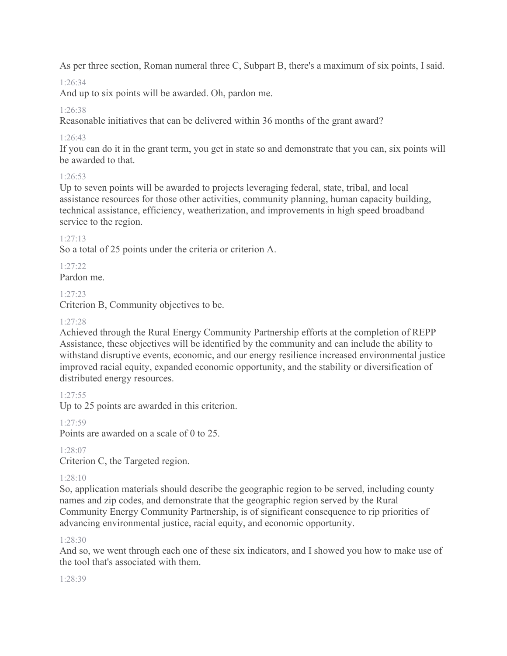As per three section, Roman numeral three C, Subpart B, there's a maximum of six points, I said.

# 1:26:34

And up to six points will be awarded. Oh, pardon me.

### 1:26:38

Reasonable initiatives that can be delivered within 36 months of the grant award?

### 1:26:43

If you can do it in the grant term, you get in state so and demonstrate that you can, six points will be awarded to that.

### 1:26:53

Up to seven points will be awarded to projects leveraging federal, state, tribal, and local assistance resources for those other activities, community planning, human capacity building, technical assistance, efficiency, weatherization, and improvements in high speed broadband service to the region.

### 1:27:13

So a total of 25 points under the criteria or criterion A.

# 1:27:22

Pardon me.

### 1:27:23

Criterion B, Community objectives to be.

### 1:27:28

Achieved through the Rural Energy Community Partnership efforts at the completion of REPP Assistance, these objectives will be identified by the community and can include the ability to withstand disruptive events, economic, and our energy resilience increased environmental justice improved racial equity, expanded economic opportunity, and the stability or diversification of distributed energy resources.

### 1:27:55

Up to 25 points are awarded in this criterion.

### 1:27:59

Points are awarded on a scale of 0 to 25.

# 1:28:07

Criterion C, the Targeted region.

### 1:28:10

So, application materials should describe the geographic region to be served, including county names and zip codes, and demonstrate that the geographic region served by the Rural Community Energy Community Partnership, is of significant consequence to rip priorities of advancing environmental justice, racial equity, and economic opportunity.

### 1:28:30

And so, we went through each one of these six indicators, and I showed you how to make use of the tool that's associated with them.

### 1:28:39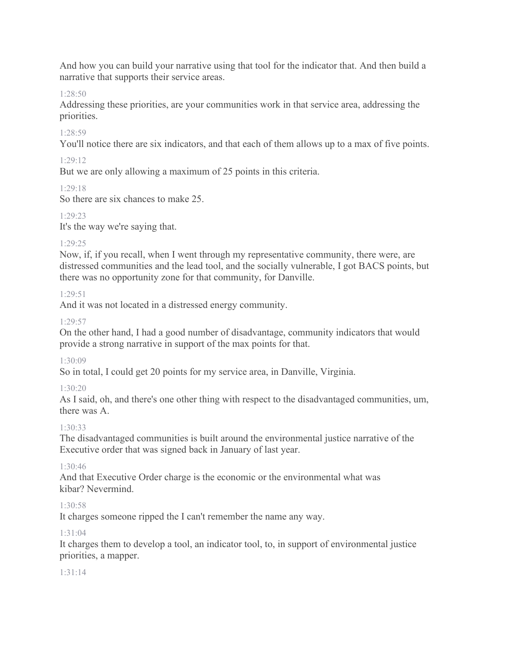And how you can build your narrative using that tool for the indicator that. And then build a narrative that supports their service areas.

#### 1:28:50

Addressing these priorities, are your communities work in that service area, addressing the priorities.

### 1:28:59

You'll notice there are six indicators, and that each of them allows up to a max of five points.

### 1:29:12

But we are only allowing a maximum of 25 points in this criteria.

### 1:29:18

So there are six chances to make 25.

### 1:29:23

It's the way we're saying that.

### 1:29:25

Now, if, if you recall, when I went through my representative community, there were, are distressed communities and the lead tool, and the socially vulnerable, I got BACS points, but there was no opportunity zone for that community, for Danville.

### 1:29:51

And it was not located in a distressed energy community.

### 1:29:57

On the other hand, I had a good number of disadvantage, community indicators that would provide a strong narrative in support of the max points for that.

### 1:30:09

So in total, I could get 20 points for my service area, in Danville, Virginia.

### 1:30:20

As I said, oh, and there's one other thing with respect to the disadvantaged communities, um, there was A.

### 1:30:33

The disadvantaged communities is built around the environmental justice narrative of the Executive order that was signed back in January of last year.

### 1:30:46

And that Executive Order charge is the economic or the environmental what was kibar? Nevermind.

### 1:30:58

It charges someone ripped the I can't remember the name any way.

### 1:31:04

It charges them to develop a tool, an indicator tool, to, in support of environmental justice priorities, a mapper.

### 1:31:14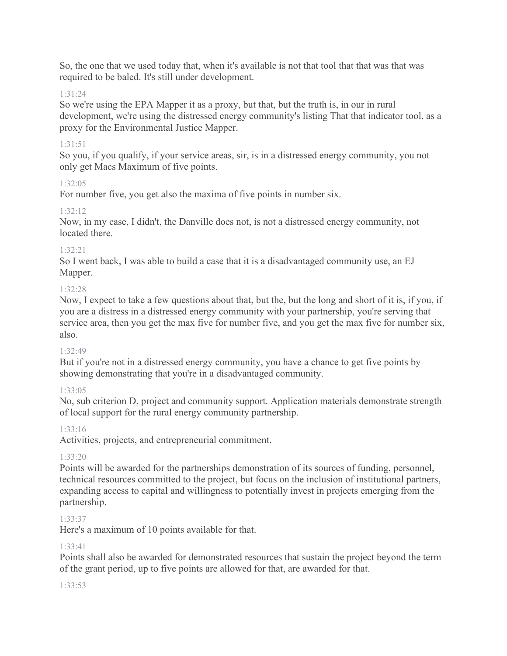So, the one that we used today that, when it's available is not that tool that that was that was required to be baled. It's still under development.

#### 1:31:24

So we're using the EPA Mapper it as a proxy, but that, but the truth is, in our in rural development, we're using the distressed energy community's listing That that indicator tool, as a proxy for the Environmental Justice Mapper.

#### 1:31:51

So you, if you qualify, if your service areas, sir, is in a distressed energy community, you not only get Macs Maximum of five points.

#### 1:32:05

For number five, you get also the maxima of five points in number six.

#### $1.32.12$

Now, in my case, I didn't, the Danville does not, is not a distressed energy community, not located there.

#### 1:32:21

So I went back, I was able to build a case that it is a disadvantaged community use, an EJ Mapper.

#### 1:32:28

Now, I expect to take a few questions about that, but the, but the long and short of it is, if you, if you are a distress in a distressed energy community with your partnership, you're serving that service area, then you get the max five for number five, and you get the max five for number six, also.

### 1:32:49

But if you're not in a distressed energy community, you have a chance to get five points by showing demonstrating that you're in a disadvantaged community.

### 1:33:05

No, sub criterion D, project and community support. Application materials demonstrate strength of local support for the rural energy community partnership.

### 1:33:16

Activities, projects, and entrepreneurial commitment.

#### 1:33:20

Points will be awarded for the partnerships demonstration of its sources of funding, personnel, technical resources committed to the project, but focus on the inclusion of institutional partners, expanding access to capital and willingness to potentially invest in projects emerging from the partnership.

### 1:33:37

Here's a maximum of 10 points available for that.

### 1:33:41

Points shall also be awarded for demonstrated resources that sustain the project beyond the term of the grant period, up to five points are allowed for that, are awarded for that.

#### 1:33:53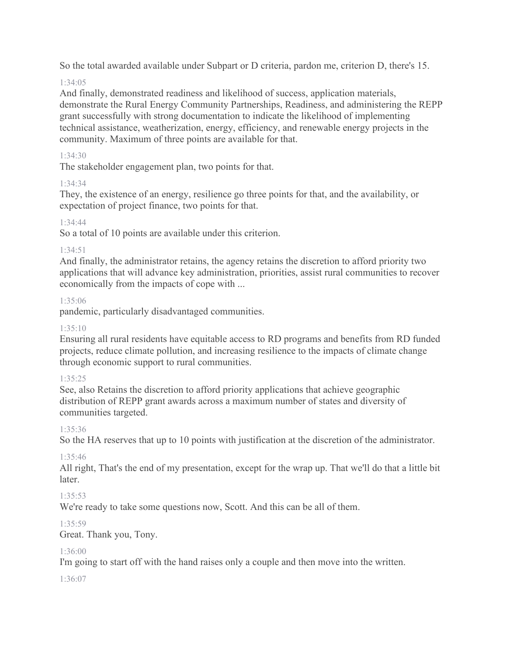So the total awarded available under Subpart or D criteria, pardon me, criterion D, there's 15.

### $1.34.05$

And finally, demonstrated readiness and likelihood of success, application materials, demonstrate the Rural Energy Community Partnerships, Readiness, and administering the REPP grant successfully with strong documentation to indicate the likelihood of implementing technical assistance, weatherization, energy, efficiency, and renewable energy projects in the community. Maximum of three points are available for that.

### 1:34:30

The stakeholder engagement plan, two points for that.

### 1:34:34

They, the existence of an energy, resilience go three points for that, and the availability, or expectation of project finance, two points for that.

### 1:34:44

So a total of 10 points are available under this criterion.

### 1:34:51

And finally, the administrator retains, the agency retains the discretion to afford priority two applications that will advance key administration, priorities, assist rural communities to recover economically from the impacts of cope with ...

### 1:35:06

pandemic, particularly disadvantaged communities.

### $1.35 \cdot 10$

Ensuring all rural residents have equitable access to RD programs and benefits from RD funded projects, reduce climate pollution, and increasing resilience to the impacts of climate change through economic support to rural communities.

### 1:35:25

See, also Retains the discretion to afford priority applications that achieve geographic distribution of REPP grant awards across a maximum number of states and diversity of communities targeted.

### 1:35:36

So the HA reserves that up to 10 points with justification at the discretion of the administrator.

### 1:35:46

All right, That's the end of my presentation, except for the wrap up. That we'll do that a little bit later.

### 1:35:53

We're ready to take some questions now, Scott. And this can be all of them.

### 1:35:59

Great. Thank you, Tony.

### 1:36:00

I'm going to start off with the hand raises only a couple and then move into the written.

1:36:07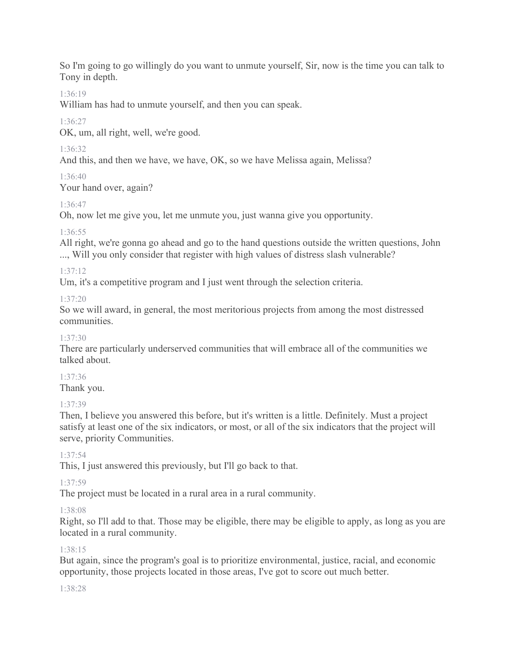So I'm going to go willingly do you want to unmute yourself, Sir, now is the time you can talk to Tony in depth.

### 1:36:19

William has had to unmute yourself, and then you can speak.

### 1:36:27

OK, um, all right, well, we're good.

# 1:36:32

And this, and then we have, we have, OK, so we have Melissa again, Melissa?

# 1:36:40

Your hand over, again?

# 1:36:47

Oh, now let me give you, let me unmute you, just wanna give you opportunity.

# 1:36:55

All right, we're gonna go ahead and go to the hand questions outside the written questions, John ..., Will you only consider that register with high values of distress slash vulnerable?

### $1.37.12$

Um, it's a competitive program and I just went through the selection criteria.

### 1:37:20

So we will award, in general, the most meritorious projects from among the most distressed communities.

### 1:37:30

There are particularly underserved communities that will embrace all of the communities we talked about.

### 1:37:36

Thank you.

### 1:37:39

Then, I believe you answered this before, but it's written is a little. Definitely. Must a project satisfy at least one of the six indicators, or most, or all of the six indicators that the project will serve, priority Communities.

### 1:37:54

This, I just answered this previously, but I'll go back to that.

### 1:37:59

The project must be located in a rural area in a rural community.

### 1:38:08

Right, so I'll add to that. Those may be eligible, there may be eligible to apply, as long as you are located in a rural community.

### 1:38:15

But again, since the program's goal is to prioritize environmental, justice, racial, and economic opportunity, those projects located in those areas, I've got to score out much better.

### 1:38:28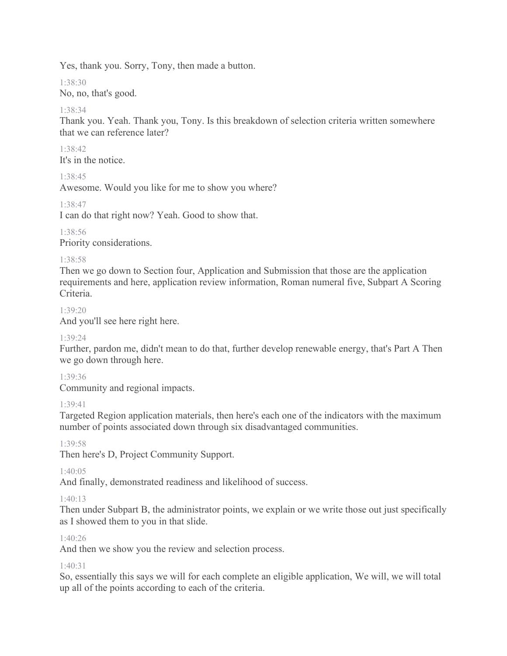Yes, thank you. Sorry, Tony, then made a button.

1:38:30

No, no, that's good.

### 1:38:34

Thank you. Yeah. Thank you, Tony. Is this breakdown of selection criteria written somewhere that we can reference later?

1:38:42 It's in the notice.

1:38:45

Awesome. Would you like for me to show you where?

1:38:47

I can do that right now? Yeah. Good to show that.

1:38:56 Priority considerations.

### 1:38:58

Then we go down to Section four, Application and Submission that those are the application requirements and here, application review information, Roman numeral five, Subpart A Scoring Criteria.

1:39:20

And you'll see here right here.

### 1:39:24

Further, pardon me, didn't mean to do that, further develop renewable energy, that's Part A Then we go down through here.

1:39:36

Community and regional impacts.

### 1:39:41

Targeted Region application materials, then here's each one of the indicators with the maximum number of points associated down through six disadvantaged communities.

1:39:58

Then here's D, Project Community Support.

 $1.40.05$ 

And finally, demonstrated readiness and likelihood of success.

### 1:40:13

Then under Subpart B, the administrator points, we explain or we write those out just specifically as I showed them to you in that slide.

### 1:40:26

And then we show you the review and selection process.

### $1.40.31$

So, essentially this says we will for each complete an eligible application, We will, we will total up all of the points according to each of the criteria.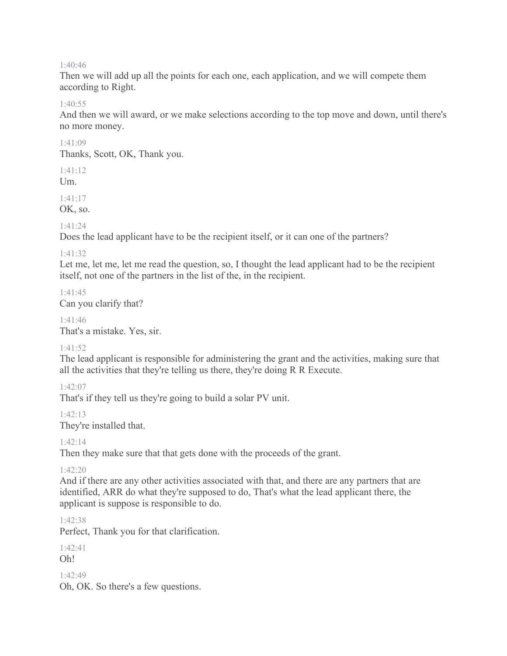#### 1:40:46

Then we will add up all the points for each one, each application, and we will compete them according to Right.

#### 1:40:55

And then we will award, or we make selections according to the top move and down, until there's no more money.

#### 1:41:09

Thanks, Scott, OK, Thank you.

 $1.41.12$ 

 $Um.$ 

1:41:17

OK, so.

1:41:24

Does the lead applicant have to be the recipient itself, or it can one of the partners?

#### 1:41:32

Let me, let me, let me read the question, so, I thought the lead applicant had to be the recipient itself, not one of the partners in the list of the, in the recipient.

1:41:45 Can you clarify that?

1:41:46 That's a mistake. Yes, sir.

#### 1:41:52

The lead applicant is responsible for administering the grant and the activities, making sure that all the activities that they're telling us there, they're doing R R Execute.

1:42:07

That's if they tell us they're going to build a solar PV unit.

1:42:13

They're installed that.

1:42:14

Then they make sure that that gets done with the proceeds of the grant.

1:42:20

And if there are any other activities associated with that, and there are any partners that are identified, ARR do what they're supposed to do, That's what the lead applicant there, the applicant is suppose is responsible to do.

1:42:38

Perfect, Thank you for that clarification.

1:42:41 Oh!

 $1.42.49$ 

Oh, OK. So there's a few questions.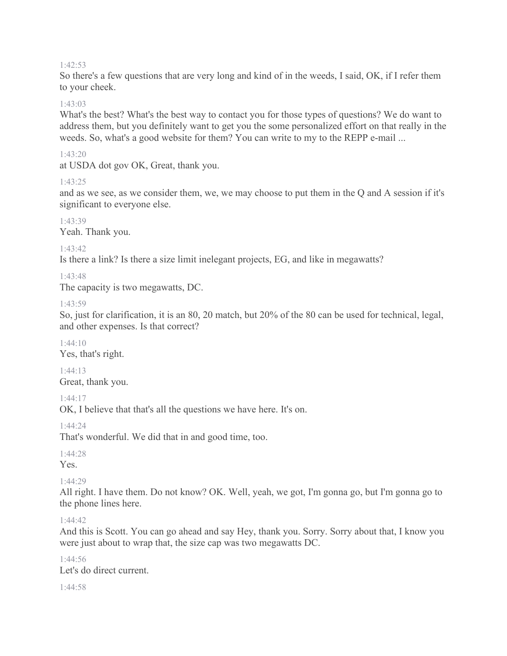#### 1:42:53

So there's a few questions that are very long and kind of in the weeds, I said, OK, if I refer them to your cheek.

#### 1:43:03

What's the best? What's the best way to contact you for those types of questions? We do want to address them, but you definitely want to get you the some personalized effort on that really in the weeds. So, what's a good website for them? You can write to my to the REPP e-mail ...

#### 1:43:20

at USDA dot gov OK, Great, thank you.

#### 1:43:25

and as we see, as we consider them, we, we may choose to put them in the Q and A session if it's significant to everyone else.

1:43:39 Yeah. Thank you.

#### 1:43:42

Is there a link? Is there a size limit inelegant projects, EG, and like in megawatts?

#### 1:43:48

The capacity is two megawatts, DC.

#### 1:43:59

So, just for clarification, it is an 80, 20 match, but 20% of the 80 can be used for technical, legal, and other expenses. Is that correct?

1:44:10 Yes, that's right.

1:44:13 Great, thank you.

1:44:17

OK, I believe that that's all the questions we have here. It's on.

1:44:24

That's wonderful. We did that in and good time, too.

1:44:28 Yes.

1:44:29

All right. I have them. Do not know? OK. Well, yeah, we got, I'm gonna go, but I'm gonna go to the phone lines here.

#### $1.44.42$

And this is Scott. You can go ahead and say Hey, thank you. Sorry. Sorry about that, I know you were just about to wrap that, the size cap was two megawatts DC.

1:44:56 Let's do direct current.

1:44:58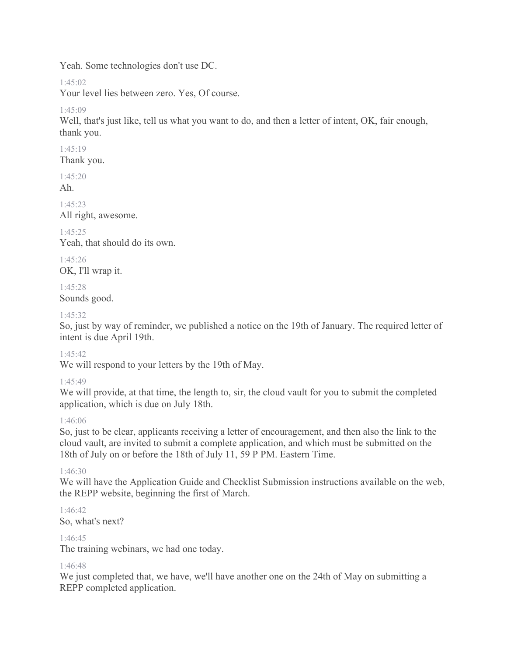Yeah. Some technologies don't use DC.

 $1.45:02$ 

Your level lies between zero. Yes, Of course.

1:45:09

Well, that's just like, tell us what you want to do, and then a letter of intent, OK, fair enough, thank you.

1:45:19

Thank you.

 $1.45:20$ 

Ah.

 $1.45.23$ 

All right, awesome.

 $1.45.25$ 

Yeah, that should do its own.

1:45:26 OK, I'll wrap it.

1:45:28 Sounds good.

1:45:32

So, just by way of reminder, we published a notice on the 19th of January. The required letter of intent is due April 19th.

### 1:45:42

We will respond to your letters by the 19th of May.

### 1:45:49

We will provide, at that time, the length to, sir, the cloud vault for you to submit the completed application, which is due on July 18th.

### 1:46:06

So, just to be clear, applicants receiving a letter of encouragement, and then also the link to the cloud vault, are invited to submit a complete application, and which must be submitted on the 18th of July on or before the 18th of July 11, 59 P PM. Eastern Time.

### $1.46.30$

We will have the Application Guide and Checklist Submission instructions available on the web, the REPP website, beginning the first of March.

1:46:42 So, what's next?

### 1:46:45

The training webinars, we had one today.

### 1:46:48

We just completed that, we have, we'll have another one on the 24th of May on submitting a REPP completed application.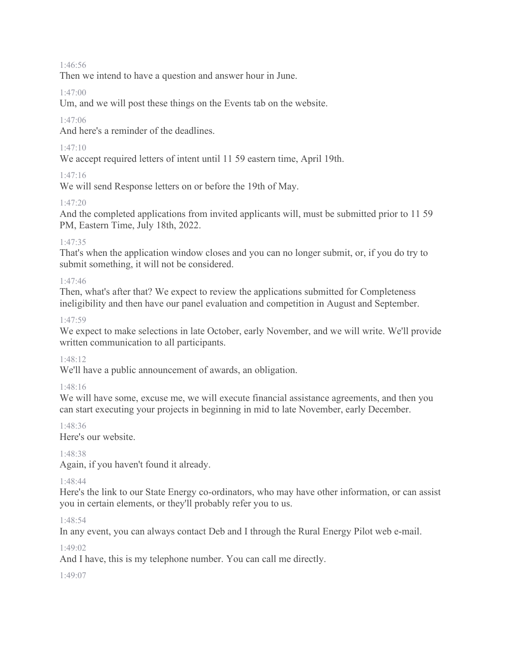#### 1:46:56

Then we intend to have a question and answer hour in June.

#### 1:47:00

Um, and we will post these things on the Events tab on the website.

#### 1:47:06

And here's a reminder of the deadlines.

### 1:47:10

We accept required letters of intent until 11 59 eastern time, April 19th.

### 1:47:16

We will send Response letters on or before the 19th of May.

### 1:47:20

And the completed applications from invited applicants will, must be submitted prior to 11 59 PM, Eastern Time, July 18th, 2022.

#### 1:47:35

That's when the application window closes and you can no longer submit, or, if you do try to submit something, it will not be considered.

#### 1:47:46

Then, what's after that? We expect to review the applications submitted for Completeness ineligibility and then have our panel evaluation and competition in August and September.

#### 1:47:59

We expect to make selections in late October, early November, and we will write. We'll provide written communication to all participants.

#### 1:48:12

We'll have a public announcement of awards, an obligation.

### 1:48:16

We will have some, excuse me, we will execute financial assistance agreements, and then you can start executing your projects in beginning in mid to late November, early December.

#### 1:48:36 Here's our website.

1:48:38

Again, if you haven't found it already.

#### 1:48:44

Here's the link to our State Energy co-ordinators, who may have other information, or can assist you in certain elements, or they'll probably refer you to us.

1:48:54

In any event, you can always contact Deb and I through the Rural Energy Pilot web e-mail.

#### 1:49:02

And I have, this is my telephone number. You can call me directly.

#### 1:49:07